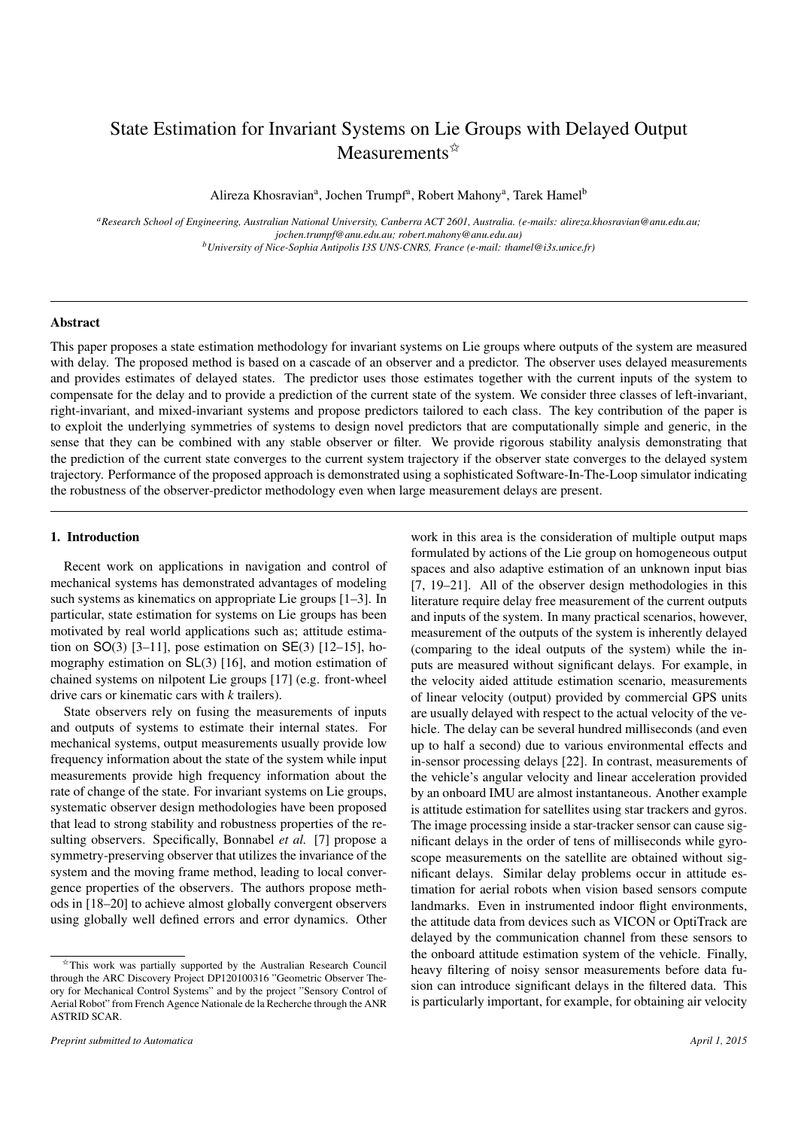# State Estimation for Invariant Systems on Lie Groups with Delayed Output Measurements $\mathbb{R}$

Alireza Khosravian<sup>a</sup>, Jochen Trumpf<sup>a</sup>, Robert Mahony<sup>a</sup>, Tarek Hamel<sup>b</sup>

*<sup>a</sup>Research School of Engineering, Australian National University, Canberra ACT 2601, Australia. (e-mails: alireza.khosravian@anu.edu.au; jochen.trumpf@anu.edu.au; robert.mahony@anu.edu.au) <sup>b</sup>University of Nice-Sophia Antipolis I3S UNS-CNRS, France (e-mail: thamel@i3s.unice.fr)*

#### Abstract

This paper proposes a state estimation methodology for invariant systems on Lie groups where outputs of the system are measured with delay. The proposed method is based on a cascade of an observer and a predictor. The observer uses delayed measurements and provides estimates of delayed states. The predictor uses those estimates together with the current inputs of the system to compensate for the delay and to provide a prediction of the current state of the system. We consider three classes of left-invariant, right-invariant, and mixed-invariant systems and propose predictors tailored to each class. The key contribution of the paper is to exploit the underlying symmetries of systems to design novel predictors that are computationally simple and generic, in the sense that they can be combined with any stable observer or filter. We provide rigorous stability analysis demonstrating that the prediction of the current state converges to the current system trajectory if the observer state converges to the delayed system trajectory. Performance of the proposed approach is demonstrated using a sophisticated Software-In-The-Loop simulator indicating the robustness of the observer-predictor methodology even when large measurement delays are present.

#### 1. Introduction

Recent work on applications in navigation and control of mechanical systems has demonstrated advantages of modeling such systems as kinematics on appropriate Lie groups [1–3]. In particular, state estimation for systems on Lie groups has been motivated by real world applications such as; attitude estimation on  $SO(3)$  [3–11], pose estimation on  $SE(3)$  [12–15], homography estimation on SL(3) [16], and motion estimation of chained systems on nilpotent Lie groups [17] (e.g. front-wheel drive cars or kinematic cars with *k* trailers).

State observers rely on fusing the measurements of inputs and outputs of systems to estimate their internal states. For mechanical systems, output measurements usually provide low frequency information about the state of the system while input measurements provide high frequency information about the rate of change of the state. For invariant systems on Lie groups, systematic observer design methodologies have been proposed that lead to strong stability and robustness properties of the resulting observers. Specifically, Bonnabel *et al.* [7] propose a symmetry-preserving observer that utilizes the invariance of the system and the moving frame method, leading to local convergence properties of the observers. The authors propose methods in [18–20] to achieve almost globally convergent observers using globally well defined errors and error dynamics. Other

work in this area is the consideration of multiple output maps formulated by actions of the Lie group on homogeneous output spaces and also adaptive estimation of an unknown input bias [7, 19–21]. All of the observer design methodologies in this literature require delay free measurement of the current outputs and inputs of the system. In many practical scenarios, however, measurement of the outputs of the system is inherently delayed (comparing to the ideal outputs of the system) while the inputs are measured without significant delays. For example, in the velocity aided attitude estimation scenario, measurements of linear velocity (output) provided by commercial GPS units are usually delayed with respect to the actual velocity of the vehicle. The delay can be several hundred milliseconds (and even up to half a second) due to various environmental effects and in-sensor processing delays [22]. In contrast, measurements of the vehicle's angular velocity and linear acceleration provided by an onboard IMU are almost instantaneous. Another example is attitude estimation for satellites using star trackers and gyros. The image processing inside a star-tracker sensor can cause significant delays in the order of tens of milliseconds while gyroscope measurements on the satellite are obtained without significant delays. Similar delay problems occur in attitude estimation for aerial robots when vision based sensors compute landmarks. Even in instrumented indoor flight environments, the attitude data from devices such as VICON or OptiTrack are delayed by the communication channel from these sensors to the onboard attitude estimation system of the vehicle. Finally, heavy filtering of noisy sensor measurements before data fusion can introduce significant delays in the filtered data. This is particularly important, for example, for obtaining air velocity

<sup>✩</sup>This work was partially supported by the Australian Research Council through the ARC Discovery Project DP120100316 "Geometric Observer Theory for Mechanical Control Systems" and by the project "Sensory Control of Aerial Robot" from French Agence Nationale de la Recherche through the ANR ASTRID SCAR.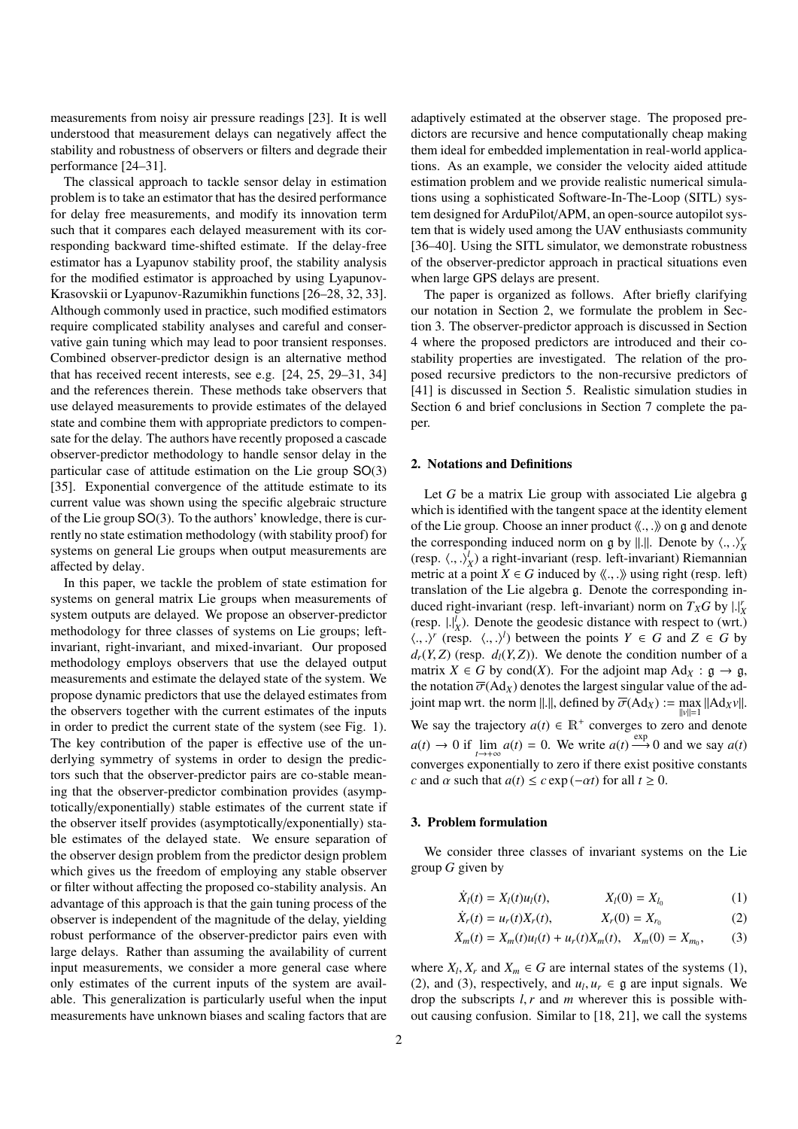measurements from noisy air pressure readings [23]. It is well understood that measurement delays can negatively affect the stability and robustness of observers or filters and degrade their performance [24–31].

The classical approach to tackle sensor delay in estimation problem is to take an estimator that has the desired performance for delay free measurements, and modify its innovation term such that it compares each delayed measurement with its corresponding backward time-shifted estimate. If the delay-free estimator has a Lyapunov stability proof, the stability analysis for the modified estimator is approached by using Lyapunov-Krasovskii or Lyapunov-Razumikhin functions [26–28, 32, 33]. Although commonly used in practice, such modified estimators require complicated stability analyses and careful and conservative gain tuning which may lead to poor transient responses. Combined observer-predictor design is an alternative method that has received recent interests, see e.g. [24, 25, 29–31, 34] and the references therein. These methods take observers that use delayed measurements to provide estimates of the delayed state and combine them with appropriate predictors to compensate for the delay. The authors have recently proposed a cascade observer-predictor methodology to handle sensor delay in the particular case of attitude estimation on the Lie group SO(3) [35]. Exponential convergence of the attitude estimate to its current value was shown using the specific algebraic structure of the Lie group SO(3). To the authors' knowledge, there is currently no state estimation methodology (with stability proof) for systems on general Lie groups when output measurements are affected by delay.

In this paper, we tackle the problem of state estimation for systems on general matrix Lie groups when measurements of system outputs are delayed. We propose an observer-predictor methodology for three classes of systems on Lie groups; leftinvariant, right-invariant, and mixed-invariant. Our proposed methodology employs observers that use the delayed output measurements and estimate the delayed state of the system. We propose dynamic predictors that use the delayed estimates from the observers together with the current estimates of the inputs in order to predict the current state of the system (see Fig. 1). The key contribution of the paper is effective use of the underlying symmetry of systems in order to design the predictors such that the observer-predictor pairs are co-stable meaning that the observer-predictor combination provides (asymptotically/exponentially) stable estimates of the current state if the observer itself provides (asymptotically/exponentially) stable estimates of the delayed state. We ensure separation of the observer design problem from the predictor design problem which gives us the freedom of employing any stable observer or filter without affecting the proposed co-stability analysis. An advantage of this approach is that the gain tuning process of the observer is independent of the magnitude of the delay, yielding robust performance of the observer-predictor pairs even with large delays. Rather than assuming the availability of current input measurements, we consider a more general case where only estimates of the current inputs of the system are available. This generalization is particularly useful when the input measurements have unknown biases and scaling factors that are

adaptively estimated at the observer stage. The proposed predictors are recursive and hence computationally cheap making them ideal for embedded implementation in real-world applications. As an example, we consider the velocity aided attitude estimation problem and we provide realistic numerical simulations using a sophisticated Software-In-The-Loop (SITL) system designed for ArduPilot/APM, an open-source autopilot system that is widely used among the UAV enthusiasts community [36–40]. Using the SITL simulator, we demonstrate robustness of the observer-predictor approach in practical situations even when large GPS delays are present.

The paper is organized as follows. After briefly clarifying our notation in Section 2, we formulate the problem in Section 3. The observer-predictor approach is discussed in Section 4 where the proposed predictors are introduced and their costability properties are investigated. The relation of the proposed recursive predictors to the non-recursive predictors of [41] is discussed in Section 5. Realistic simulation studies in Section 6 and brief conclusions in Section 7 complete the paper.

# 2. Notations and Definitions

Let *G* be a matrix Lie group with associated Lie algebra g which is identified with the tangent space at the identity element of the Lie group. Choose an inner product  $\langle \langle ., . \rangle \rangle$  on g and denote the corresponding induced norm on g by  $\|\cdot\|$ . Denote by  $\langle ., . \rangle^r$ <br>(resp.  $\langle ., \rangle^l$ ) a right-invariant (resp. left-invariant) Riemannian (resp.  $\langle ., . \rangle'_X$ ) a right-invariant (resp. left-invariant) Riemannian<br>metric at a point  $X \in G$  induced by  $\mathbb{Z}$  with right (resp. left) metric at a point *X*  $\in$  *G* induced by  $\langle \langle ., . \rangle \rangle$  using right (resp. left) translation of the Lie algebra g. Denote the corresponding induced right-invariant (resp. left-invariant) norm on  $T_X G$  by  $\vert \cdot \vert'$ <br>(resp.  $\vert \cdot \vert'$ ). Denote the geodesic distance with respect to (wr) (resp.  $|.|'_X$ ). Denote the geodesic distance with respect to (wrt.)<br>  $\langle \rangle^Y$  (resp.  $\langle \rangle^Y$ ) between the points  $Y \in G$  and  $Z \in G$  by  $\langle ., . \rangle^r$  (resp.  $\langle ., . \rangle^l$ ) between the points  $Y \in G$  and  $Z \in G$  by  $d(YZ)$  (resp.  $d(YZ)$ ). We denote the condition number of a  $d_r(Y, Z)$  (resp.  $d_l(Y, Z)$ ). We denote the condition number of a matrix  $X \in G$  by cond(*X*). For the adjoint map  $\text{Ad}_X : \mathfrak{g} \to \mathfrak{g}$ , the notation  $\overline{\sigma}(Ad_X)$  denotes the largest singular value of the adjoint map wrt. the norm ||.||, defined by  $\overline{\sigma}(Ad_X) := \max_{\|v\|=1} ||Ad_Xv||$ .  $k$ **v**  $\mathbb{R}^n$  we say the trajectory  $a(t) \in \mathbb{R}^+$  converges to zero and denote  $a(t) \to 0$  if  $\lim_{t \to +\infty} a(t) = 0$ . We write  $a(t) \xrightarrow{\exp} 0$  and we say  $a(t)$ converges exponentially to zero if there exist positive constants *c* and  $\alpha$  such that  $a(t) \leq c \exp(-\alpha t)$  for all  $t \geq 0$ .

#### 3. Problem formulation

We consider three classes of invariant systems on the Lie group *G* given by

$$
\dot{X}_l(t) = X_l(t)u_l(t), \qquad X_l(0) = X_{l_0}
$$
\n
$$
\dot{X}_l(t) = \dot{X}_l(t)u_l(t), \qquad X_l(0) = X_{l_0}
$$
\n
$$
\dot{X}_l(t) = \dot{X}_l(t)u_l(t), \qquad X_l(0) = X_{l_0}
$$

$$
\dot{X}_r(t) = u_r(t)X_r(t), \qquad X_r(0) = X_{r_0}
$$
 (2)

$$
\dot{X}_m(t) = X_m(t)u_l(t) + u_r(t)X_m(t), \quad X_m(0) = X_{m_0},
$$
 (3)

where  $X_l$ ,  $X_r$  and  $X_m \in G$  are internal states of the systems (1),<br>(2) and (3) respectively and  $u, u \in G$  are input signals. We (2), and (3), respectively, and  $u_l, u_r \in \mathfrak{g}$  are input signals. We drop the subscripts *l r* and *m* wherever this is possible with drop the subscripts *<sup>l</sup>*,*<sup>r</sup>* and *<sup>m</sup>* wherever this is possible without causing confusion. Similar to [18, 21], we call the systems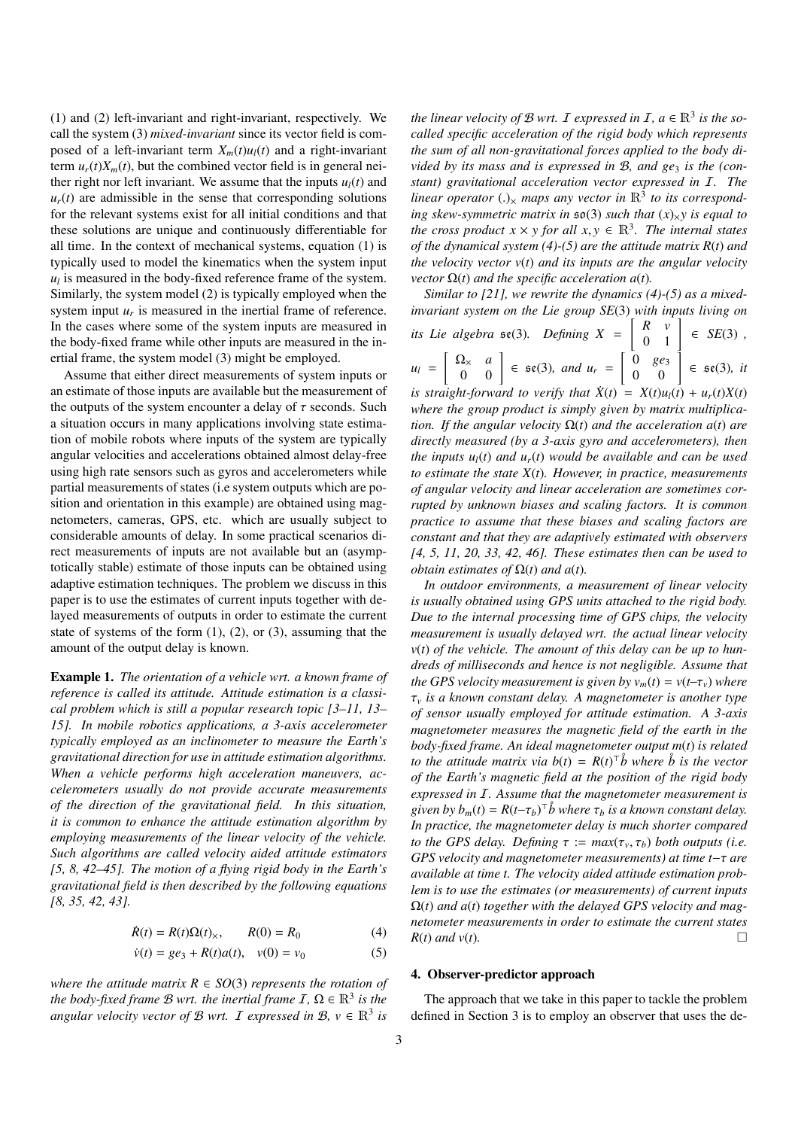(1) and (2) left-invariant and right-invariant, respectively. We call the system (3) *mixed-invariant* since its vector field is composed of a left-invariant term  $X_m(t)u_l(t)$  and a right-invariant term  $u_r(t)X_m(t)$ , but the combined vector field is in general neither right nor left invariant. We assume that the inputs  $u_l(t)$  and  $u_r(t)$  are admissible in the sense that corresponding solutions for the relevant systems exist for all initial conditions and that these solutions are unique and continuously differentiable for all time. In the context of mechanical systems, equation (1) is typically used to model the kinematics when the system input  $u_l$  is measured in the body-fixed reference frame of the system. Similarly, the system model (2) is typically employed when the system input  $u_r$  is measured in the inertial frame of reference. In the cases where some of the system inputs are measured in the body-fixed frame while other inputs are measured in the inertial frame, the system model (3) might be employed.

Assume that either direct measurements of system inputs or an estimate of those inputs are available but the measurement of the outputs of the system encounter a delay of  $\tau$  seconds. Such a situation occurs in many applications involving state estimation of mobile robots where inputs of the system are typically angular velocities and accelerations obtained almost delay-free using high rate sensors such as gyros and accelerometers while partial measurements of states (i.e system outputs which are position and orientation in this example) are obtained using magnetometers, cameras, GPS, etc. which are usually subject to considerable amounts of delay. In some practical scenarios direct measurements of inputs are not available but an (asymptotically stable) estimate of those inputs can be obtained using adaptive estimation techniques. The problem we discuss in this paper is to use the estimates of current inputs together with delayed measurements of outputs in order to estimate the current state of systems of the form  $(1)$ ,  $(2)$ , or  $(3)$ , assuming that the amount of the output delay is known.

Example 1. *The orientation of a vehicle wrt. a known frame of reference is called its attitude. Attitude estimation is a classical problem which is still a popular research topic [3–11, 13– 15]. In mobile robotics applications, a 3-axis accelerometer typically employed as an inclinometer to measure the Earth's gravitational direction for use in attitude estimation algorithms. When a vehicle performs high acceleration maneuvers, accelerometers usually do not provide accurate measurements of the direction of the gravitational field. In this situation, it is common to enhance the attitude estimation algorithm by employing measurements of the linear velocity of the vehicle. Such algorithms are called velocity aided attitude estimators [5, 8, 42–45]. The motion of a flying rigid body in the Earth's gravitational field is then described by the following equations [8, 35, 42, 43].*

$$
\dot{R}(t) = R(t)\Omega(t)_{\times}, \qquad R(0) = R_0 \tag{4}
$$

$$
\dot{v}(t) = ge_3 + R(t)a(t), \quad v(0) = v_0 \tag{5}
$$

*where the attitude matrix*  $R \in SO(3)$  *represents the rotation of the body-fixed frame B wrt. the inertial frame*  $I$ *,*  $\Omega \in \mathbb{R}^3$  *is the angular velocity vector of*  $\mathcal{B}$  *wrt. I expressed in*  $\mathcal{B}$ *, v*  $\in \mathbb{R}^3$  *is* 

*the linear velocity of*  $\mathcal{B}$  *wrt. I expressed in I*,  $a \in \mathbb{R}^3$  *is the socalled specific acceleration of the rigid body which represents the sum of all non-gravitational forces applied to the body divided by its mass and is expressed in B, and ge<sub>3</sub> is the (constant) gravitational acceleration vector expressed in* I*. The linear operator* (.)<sub> $\times$ </sub> *maps any vector in*  $\mathbb{R}^3$  *to its correspond-*<br>*ing skew-symmetric matrix in*  $\epsilon$ (3) *such that (x) y is equal to ing skew-symmetric matrix in*  $\mathfrak{so}(3)$  *such that*  $(x)_{\times}$ *y is equal to the cross product*  $x \times y$  *for all*  $x, y \in \mathbb{R}^3$ *. The internal states* of the dynamical system (4)-(5) are the attitude matrix  $R(t)$  and *of the dynamical system (4)-(5) are the attitude matrix R*(*t*) *and the velocity vector v*(*t*) *and its inputs are the angular velocity vector*  $\Omega(t)$  *and the specific acceleration a(t).* 

*Similar to [21], we rewrite the dynamics (4)-(5) as a mixedinvariant system on the Lie group SE*(3) *with inputs living on*

$$
\begin{aligned}\n\text{its Lie algebra } \mathfrak{se}(3). \quad \text{Defining } X &= \begin{bmatrix} R & v \\ 0 & 1 \end{bmatrix} \in \text{SE}(3), \\
u_l &= \begin{bmatrix} \Omega_\times & a \\ 0 & 0 \end{bmatrix} \in \mathfrak{se}(3), \text{ and } u_r &= \begin{bmatrix} 0 & ge_3 \\ 0 & 0 \end{bmatrix} \in \mathfrak{se}(3), \text{ it}\n\end{aligned}
$$

*is straight-forward to verify that*  $\dot{X}(t) = X(t)u_1(t) + u_r(t)X(t)$ *where the group product is simply given by matrix multiplication. If the angular velocity*  $\Omega(t)$  *and the acceleration a(t) are directly measured (by a 3-axis gyro and accelerometers), then the inputs*  $u_l(t)$  *and*  $u_r(t)$  *would be available and can be used to estimate the state X*(*t*)*. However, in practice, measurements of angular velocity and linear acceleration are sometimes corrupted by unknown biases and scaling factors. It is common practice to assume that these biases and scaling factors are constant and that they are adaptively estimated with observers [4, 5, 11, 20, 33, 42, 46]. These estimates then can be used to obtain estimates of*  $\Omega(t)$  *and a(t)*.

*In outdoor environments, a measurement of linear velocity is usually obtained using GPS units attached to the rigid body. Due to the internal processing time of GPS chips, the velocity measurement is usually delayed wrt. the actual linear velocity v*(*t*) *of the vehicle. The amount of this delay can be up to hundreds of milliseconds and hence is not negligible. Assume that the GPS velocity measurement is given by*  $v_m(t) = v(t-\tau_v)$  *where* <sup>τ</sup>*<sup>v</sup> is a known constant delay. A magnetometer is another type of sensor usually employed for attitude estimation. A 3-axis magnetometer measures the magnetic field of the earth in the body-fixed frame. An ideal magnetometer output m*(*t*) *is related to the attitude matrix via*  $b(t) = R(t)^T \hat{b}$  *where*  $\hat{b}$  *is the vector of the Earth's magnetic field at the position of the rigid body expressed in* I*. Assume that the magnetometer measurement is given by*  $b_m(t) = R(t-\tau_b)^{\top} \hat{b}$  *where*  $\tau_b$  *is a known constant delay.*<br>In practice, the magnetometer delay is much shorter compared. *In practice, the magnetometer delay is much shorter compared to the GPS delay. Defining*  $\tau := max(\tau_{\nu}, \tau_{b})$  *both outputs (i.e. GPS velocity and magnetometer measurements) at time t*−τ *are available at time t. The velocity aided attitude estimation problem is to use the estimates (or measurements) of current inputs* Ω(*t*) *and a*(*t*) *together with the delayed GPS velocity and magnetometer measurements in order to estimate the current states*  $R(t)$  *and*  $v(t)$ .

#### 4. Observer-predictor approach

The approach that we take in this paper to tackle the problem defined in Section 3 is to employ an observer that uses the de-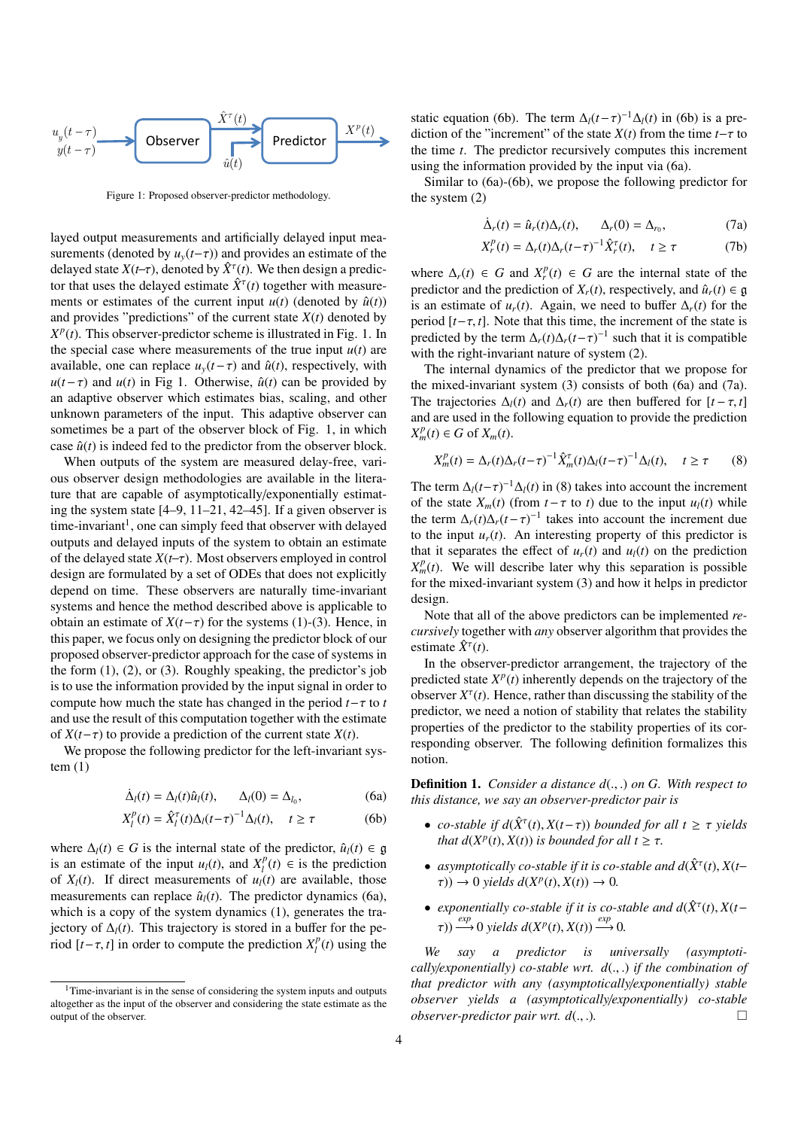

Figure 1: Proposed observer-predictor methodology.

layed output measurements and artificially delayed input measurements (denoted by  $u_y(t-\tau)$ ) and provides an estimate of the delayed state *X*(*t*− $\tau$ ), denoted by  $\hat{X}^{\tau}(t)$ . We then design a predictor that uses the delayed estimate  $\hat{X}^{\tau}(t)$  together with measuretor that uses the delayed estimate  $\hat{X}^{\tau}(t)$  together with measurements or estimates of the current input  $u(t)$  (denoted by  $\hat{u}(t)$ ) and provides "predictions" of the current state  $X(t)$  denoted by  $X^p(t)$ . This observer-predictor scheme is illustrated in Fig. 1. In the special case where measurements of the true input  $u(t)$  are available, one can replace  $u<sub>y</sub>(t-\tau)$  and  $\hat{u}(t)$ , respectively, with  $u(t-\tau)$  and  $u(t)$  in Fig 1. Otherwise,  $\hat{u}(t)$  can be provided by an adaptive observer which estimates bias, scaling, and other unknown parameters of the input. This adaptive observer can sometimes be a part of the observer block of Fig. 1, in which case  $\hat{u}(t)$  is indeed fed to the predictor from the observer block.

When outputs of the system are measured delay-free, various observer design methodologies are available in the literature that are capable of asymptotically/exponentially estimating the system state [4–9, 11–21, 42–45]. If a given observer is time-invariant<sup>1</sup>, one can simply feed that observer with delayed outputs and delayed inputs of the system to obtain an estimate of the delayed state *<sup>X</sup>*(*t*−τ). Most observers employed in control design are formulated by a set of ODEs that does not explicitly depend on time. These observers are naturally time-invariant systems and hence the method described above is applicable to obtain an estimate of  $X(t-\tau)$  for the systems (1)-(3). Hence, in this paper, we focus only on designing the predictor block of our proposed observer-predictor approach for the case of systems in the form  $(1)$ ,  $(2)$ , or  $(3)$ . Roughly speaking, the predictor's job is to use the information provided by the input signal in order to compute how much the state has changed in the period  $t - \tau$  to  $t$ and use the result of this computation together with the estimate of *<sup>X</sup>*(*t*−τ) to provide a prediction of the current state *<sup>X</sup>*(*t*).

We propose the following predictor for the left-invariant system  $(1)$ 

$$
\dot{\Delta}_l(t) = \Delta_l(t)\hat{u}_l(t), \qquad \Delta_l(0) = \Delta_{l_0}, \tag{6a}
$$

$$
X_l^p(t) = \hat{X}_l^{\tau}(t)\Delta_l(t-\tau)^{-1}\Delta_l(t), \quad t \ge \tau
$$
 (6b)

where  $\Delta_l(t)$  ∈ *G* is the internal state of the predictor,  $\hat{u}_l(t)$  ∈ g is an estimate of the input  $u_l(t)$ , and  $X_l^p$  $l_l^p(t)$  ∈ is the prediction of  $X_l(t)$ . If direct measurements of  $u_l(t)$  are available, those measurements can replace  $\hat{u}_l(t)$ . The predictor dynamics (6a), which is a copy of the system dynamics  $(1)$ , generates the trajectory of  $\Delta_l(t)$ . This trajectory is stored in a buffer for the period  $[t-\tau, t]$  in order to compute the prediction  $X_l^p$  $l_l^p(t)$  using the

 $\hat{X}^{\tau}(t)$  static equation (6b). The term  $\Delta_l(t-\tau)^{-1}\Delta_l(t)$  in (6b) is a pre-<br> $X^{\nu}(t)$  diction of the "increment" of the state  $X(t)$  from the time  $t-\tau$  to diction of the "increment" of the state  $X(t)$  from the time  $t-\tau$  to the time *t*. The predictor recursively computes this increment using the information provided by the input via (6a).

> Similar to (6a)-(6b), we propose the following predictor for the system (2)

$$
\dot{\Delta}_r(t) = \hat{u}_r(t)\Delta_r(t), \qquad \Delta_r(0) = \Delta_{r_0}, \tag{7a}
$$

$$
X_r^p(t) = \Delta_r(t)\Delta_r(t-\tau)^{-1}\hat{X}_r^{\tau}(t), \quad t \ge \tau
$$
 (7b)

where  $\Delta_r(t)$  ∈ *G* and  $X_r^p(t)$  ∈ *G* are the internal state of the predictor and the prediction of  $X_r(t)$ , respectively, and  $\hat{u}_r(t) \in \mathfrak{g}$ is an estimate of  $u_r(t)$ . Again, we need to buffer  $\Delta_r(t)$  for the period  $[t-\tau, t]$ . Note that this time, the increment of the state is predicted by the term  $\Delta_r(t)\Delta_r(t-\tau)^{-1}$  such that it is compatible<br>with the right-invariant nature of system (2) with the right-invariant nature of system  $(2)$ .

The internal dynamics of the predictor that we propose for the mixed-invariant system (3) consists of both (6a) and (7a). The trajectories  $\Delta_l(t)$  and  $\Delta_r(t)$  are then buffered for  $[t - \tau, t]$ and are used in the following equation to provide the prediction  $X_m^p(t) \in G$  of  $X_m(t)$ .

$$
X_m^p(t) = \Delta_r(t)\Delta_r(t-\tau)^{-1}\hat{X}_m^{\tau}(t)\Delta_l(t-\tau)^{-1}\Delta_l(t), \quad t \ge \tau \qquad (8)
$$

The term  $\Delta_l(t-\tau)^{-1}\Delta_l(t)$  in (8) takes into account the increment<br>of the state *X* (*t*) (from  $t-\tau$  to *t*) due to the input  $u(t)$  while of the state  $X_m(t)$  (from  $t - \tau$  to *t*) due to the input  $u_l(t)$  while the term  $\Delta_r(t)\Delta_r(t-\tau)^{-1}$  takes into account the increment due<br>to the input  $\mu$  (*t*) An interesting property of this predictor is to the input  $u_r(t)$ . An interesting property of this predictor is that it separates the effect of  $u_r(t)$  and  $u_l(t)$  on the prediction  $X_m^p(t)$ . We will describe later why this separation is possible for the mixed-invariant system (3) and how it helps in predictor design.

Note that all of the above predictors can be implemented *recursively* together with *any* observer algorithm that provides the estimate  $\hat{X}^{\tau}(t)$ .

In the observer-predictor arrangement, the trajectory of the predicted state  $X^p(t)$  inherently depends on the trajectory of the observer  $X^{\tau}(t)$ . Hence, rather than discussing the stability of the predictor, we need a notion of stability that relates the stability properties of the predictor to the stability properties of its corresponding observer. The following definition formalizes this notion.

Definition 1. *Consider a distance d*(., .) *on G. With respect to this distance, we say an observer-predictor pair is*

- *co-stable if*  $d(\hat{X}^{\tau}(t), X(t-\tau))$  *bounded for all t* ≥ *τ yields* that  $d(X^p(t), Y(t))$  *is hounded for all t* > *τ that d*( $X^p(t)$ ,  $X(t)$ ) *is bounded for all t*  $\geq \tau$ *.*
- *asymptotically co-stable if it is co-stable and*  $d(\hat{X}^\tau(t), X(t-$ *<br>*  $\tau$ *)*) → 0 *yields d(YP(t) X(t)*) → 0  $\tau$ <sup>*r*</sup> $\rightarrow$  0 *yields d*(*X*<sup>*p*</sup>(*t*), *X*(*t*))  $\rightarrow$  0*.*
- *exponentially co-stable if it is co-stable and*  $d(\hat{X}^{\tau}(t), X(t-\hat{X}^{\mu}(t)))$  $\overrightarrow{exp}$  0 *yields d*( $X^p(t), X(t)$ )  $\xrightarrow{exp} 0$ .

*We say a predictor is universally (asymptotically*/*exponentially) co-stable wrt. d*(., .) *if the combination of that predictor with any (asymptotically*/*exponentially) stable observer yields a (asymptotically*/*exponentially) co-stable observer-predictor pair wrt.*  $d(.,.).$ 

<sup>&</sup>lt;sup>1</sup>Time-invariant is in the sense of considering the system inputs and outputs altogether as the input of the observer and considering the state estimate as the output of the observer.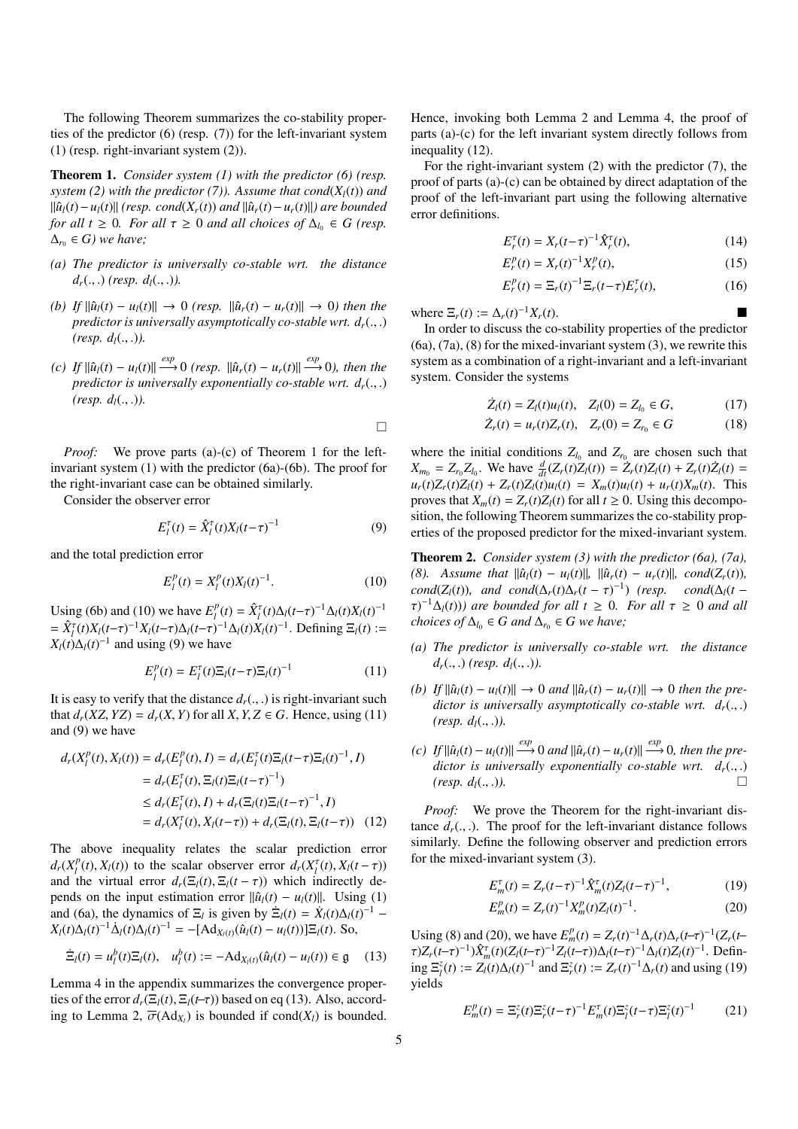The following Theorem summarizes the co-stability properties of the predictor (6) (resp. (7)) for the left-invariant system (1) (resp. right-invariant system (2)).

Theorem 1. *Consider system (1) with the predictor (6) (resp. system* (2) with the predictor (7)). Assume that cond $(X<sub>l</sub>(t))$  and  $\|\hat{u}_i(t) - u_i(t)\|$  (resp. cond( $X_i(t)$ ) and  $\|\hat{u}_i(t) - u_i(t)\|$ ) are bounded *for all*  $t \geq 0$ *. For all*  $\tau \geq 0$  *and all choices of*  $\Delta_{l_0} \in G$  (*resp.*  $\Delta_{r_0}$  ∈ *G*) we have;

- *(a) The predictor is universally co-stable wrt. the distance*  $d_r(.,.)$  (resp.  $d_l(.,.).$ ).
- *(b) If*  $\|\hat{u}_i(t) u_i(t)\|$  → 0 *(resp.*  $\|\hat{u}_r(t) u_r(t)\|$  → 0*)* then the *predictor is universally asymptotically co-stable wrt.*  $d_r(.,.)$ *(resp. dl*(., .)*).*
- $f(c)$  *If*  $\|\hat{u}_l(t) u_l(t)\| \stackrel{exp}{\longrightarrow} 0$  (resp.  $\|\hat{u}_r(t) u_r(t)\| \stackrel{exp}{\longrightarrow} 0$ ), then the *predictor is universally exponentially co-stable wrt.*  $d_r(.,.)$  $(resp. d<sub>l</sub>(., .)).$

*Proof:* We prove parts (a)-(c) of Theorem 1 for the leftinvariant system (1) with the predictor (6a)-(6b). The proof for the right-invariant case can be obtained similarly.

Consider the observer error

$$
E_l^{\tau}(t) = \hat{X}_l^{\tau}(t) X_l(t-\tau)^{-1}
$$
 (9)

and the total prediction error

$$
E_l^p(t) = X_l^p(t)X_l(t)^{-1}.
$$
 (10)

Using (6b) and (10) we have  $E_l^p$  $\hat{X}_l^{\tau}(t) = \hat{X}_l^{\tau}(t)\Delta_l(t-\tau)^{-1}\Delta_l(t)X_l(t)^{-1}$ <br>  $\Delta_l(t)X_l(t)^{-1}$  Defining  $\Xi_l(t)$  :  $\sum_{l=1}^{n} \sum_{l=1}^{n} f(t)X_{l}(t-\tau)^{-1}X_{l}(t-\tau)^{-1}\Delta_{l}(t)X_{l}(t)^{-1}$ . Defining  $\Xi_{l}(t) := X_{l}(t)\Delta_{l}(t)^{-1}$  and using (9) we have  $X_l(t)\Delta_l(t)^{-1}$  and using (9) we have

$$
E_l^p(t) = E_l^{\tau}(t)\Xi_l(t-\tau)\Xi_l(t)^{-1}
$$
 (11)

It is easy to verify that the distance  $d_r(x)$  is right-invariant such that  $d_r(XZ, YZ) = d_r(X, Y)$  for all  $X, Y, Z \in G$ . Hence, using (11) and (9) we have

$$
d_r(X_l^p(t), X_l(t)) = d_r(E_l^p(t), I) = d_r(E_l^{\tau}(t)\Xi_l(t-\tau)\Xi_l(t)^{-1}, I)
$$
  
\n
$$
= d_r(E_l^{\tau}(t), \Xi_l(t)\Xi_l(t-\tau)^{-1})
$$
  
\n
$$
\leq d_r(E_l^{\tau}(t), I) + d_r(\Xi_l(t)\Xi_l(t-\tau)^{-1}, I)
$$
  
\n
$$
= d_r(X_l^{\tau}(t), X_l(t-\tau)) + d_r(\Xi_l(t), \Xi_l(t-\tau)) \quad (12)
$$

The above inequality relates the scalar prediction error  $d_r(X_l^p)$  $l_l^p(t), X_l(t)$  to the scalar observer error  $d_r(X_l^{\tau}(t), X_l(t-\tau))$ <br>
the virtual error  $d_r(\Xi_t(t), \Xi_t(t-\tau))$  which indirectly deand the virtual error  $d_r(\Xi_l(t), \Xi_l(t-\tau))$  which indirectly depends on the input estimation error  $\|\hat{u}_l(t) - u_l(t)\|$ . Using (1) and (6a), the dynamics of  $\Xi_l$  is given by  $\dot{\Xi}_l(t) = \dot{X}_l(t)\Delta_l(t)^{-1}$  –  $X_l(t)\Delta_l(t)^{-1}\dot{\Delta}_l(t)\Delta_l(t)^{-1} = -[Ad_{X_l(t)}(\hat{u}_l(t) - u_l(t))] \Xi_l(t)$ . So,

$$
\dot{\Xi}_l(t) = u_l^b(t)\Xi_l(t), \quad u_l^b(t) := -\mathrm{Ad}_{X_l(t)}(\hat{u}_l(t) - u_l(t)) \in \mathfrak{g} \tag{13}
$$

Lemma 4 in the appendix summarizes the convergence properties of the error  $d_r(\Xi_l(t), \Xi_l(t-\tau))$  based on eq (13). Also, according to Lemma 2,  $\overline{\sigma}(Ad_{X_l})$  is bounded if cond $(X_l)$  is bounded.

Hence, invoking both Lemma 2 and Lemma 4, the proof of parts (a)-(c) for the left invariant system directly follows from inequality (12).

For the right-invariant system (2) with the predictor (7), the proof of parts (a)-(c) can be obtained by direct adaptation of the proof of the left-invariant part using the following alternative error definitions.

$$
E_r^{\tau}(t) = X_r(t-\tau)^{-1} \hat{X}_r^{\tau}(t),
$$
\n(14)

$$
E_r^p(t) = X_r(t)^{-1} X_r^p(t),
$$
\n(15)

$$
E_r^p(t) = \Xi_r(t)^{-1} \Xi_r(t-\tau) E_r^{\tau}(t),
$$
\n(16)

where  $\Xi_r(t) := \Delta_r(t)^{-1} X_r(t)$ .

 $\Box$ 

In order to discuss the co-stability properties of the predictor  $(6a)$ ,  $(7a)$ ,  $(8)$  for the mixed-invariant system  $(3)$ , we rewrite this system as a combination of a right-invariant and a left-invariant system. Consider the systems

$$
\dot{Z}_l(t) = Z_l(t)u_l(t), \quad Z_l(0) = Z_{l_0} \in G,\tag{17}
$$

$$
\dot{Z}_r(t) = u_r(t) Z_r(t), \quad Z_r(0) = Z_{r_0} \in G \tag{18}
$$

where the initial conditions  $Z_{l_0}$  and  $Z_{r_0}$  are chosen such that  $X_{m_0} = Z_{r_0} Z_{l_0}$ . We have  $\frac{d}{dt}(Z_r(t)Z_l(t)) = \dot{Z}_r(t)Z_l(t) + Z_r(t)\dot{Z}_l(t)$  $u_r(t)Z_r(t)Z_l(t) + Z_r(t)Z_l(t)u_l(t) = X_m(t)u_l(t) + u_r(t)X_m(t)$ . This proves that  $X_m(t) = Z_r(t)Z_l(t)$  for all  $t \ge 0$ . Using this decomposition, the following Theorem summarizes the co-stability properties of the proposed predictor for the mixed-invariant system.

Theorem 2. *Consider system (3) with the predictor (6a), (7a), (8). Assume that*  $\|\hat{u}_l(t) - u_l(t)\|$ *,*  $\|\hat{u}_r(t) - u_r(t)\|$ *, cond*(*Z<sub>r</sub>*(*t*)*),*  $cond(Z_l(t))$ *, and cond*( $\Delta_r(t)\Delta_r(t-\tau)^{-1}$ ) (resp. cond( $\Delta_l(t-\tau)^{-1}\Delta_r(t)$ )) are bounded for all  $t > 0$  for all  $\tau > 0$  and all  $\tau$ <sup>-1</sup> $\Delta_l(t)$ )) are bounded for all  $t \geq 0$ . For all  $\tau \geq 0$  and all<br>choices of  $\Delta_l \in G$  and  $\Delta_l \in G$  we have: *choices of*  $\Delta_{l_0} \in G$  *and*  $\Delta_{r_0} \in G$  *we have;* 

- *(a) The predictor is universally co-stable wrt. the distance*  $d_r(.,.)(resp. d_l(.,.)).$
- *(b) If*  $\|\hat{u}_l(t) u_l(t)\| \to 0$  *and*  $\|\hat{u}_r(t) u_r(t)\| \to 0$  *then the predictor is universally asymptotically co-stable wrt. dr*(., .) *(resp.*  $d_l(., .)$ *).*
- $f(c)$  *If*  $\|\hat{u}_l(t) u_l(t)\| \xrightarrow{exp} 0$  *and*  $\|\hat{u}_r(t) u_r(t)\| \xrightarrow{exp} 0$ *, then the predictor is universally exponentially co-stable wrt.*  $d_r(.,.)$ <br>(resp.  $d_r(.)$ ) *(resp. dl*(., .)*).*

*Proof:* We prove the Theorem for the right-invariant distance  $d_r(x)$ . The proof for the left-invariant distance follows similarly. Define the following observer and prediction errors for the mixed-invariant system (3).

$$
E_m^{\tau}(t) = Z_r(t-\tau)^{-1} \hat{X}_m^{\tau}(t) Z_l(t-\tau)^{-1},
$$
\n(19)

$$
E_m^p(t) = Z_r(t)^{-1} X_m^p(t) Z_l(t)^{-1}.
$$
 (20)

Using (8) and (20), we have  $E_m^p(t) = Z_r(t)^{-1} \Delta_r(t) \Delta_r(t-\tau)^{-1} (Z_r(t-\tau)^{-1})$ <br>  $\tau > Z(t-\tau)^{-1} \hat{Y}^{\tau}(t) (Z(t-\tau)^{-1} Z(t-\tau)) \Delta_r(t-\tau)^{-1} \Delta_r(t) Z_t(t)^{-1}$ . Define  $\tau$ ) $Z_r(t-\tau)^{-1}$ ) $\hat{X}_m^{\tau}(t) (Z_l(t-\tau)^{-1} Z_l(t-\tau)) \Delta_l(t-\tau)^{-1} \Delta_l(t) Z_l(t)^{-1}$ . Defin-<br>ing  $\bar{X}^z(t) := Z_t(t) \Delta_l(t)^{-1}$  and  $\bar{X}^z(t) := Z_t(t)^{-1} \Delta_l(t)$  and using (19) ing  $\Xi_{l}^{z}(t) := Z_{l}(t)\Delta_{l}(t)^{-1}$  and  $\Xi_{r}^{z}(t) := Z_{r}(t)^{-1}\Delta_{r}(t)$  and using (19) yields

$$
E_m^p(t) = \Xi_r^z(t)\Xi_r^z(t-\tau)^{-1}E_m^{\tau}(t)\Xi_l^z(t-\tau)\Xi_l^z(t)^{-1}
$$
 (21)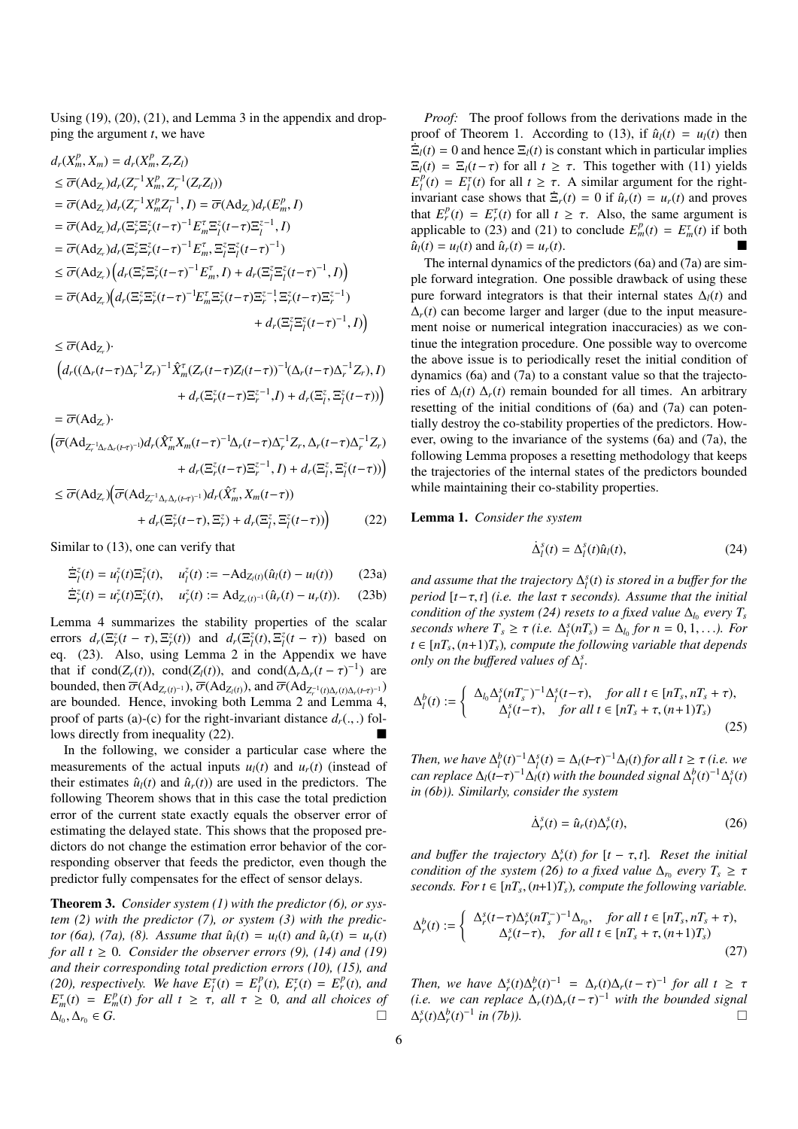Using (19), (20), (21), and Lemma 3 in the appendix and dropping the argument *t*, we have

$$
d_r(X_m^p, X_m) = d_r(X_m^p, Z_r Z_l)
$$
  
\n
$$
\leq \overline{\sigma}(\text{Ad}_{Z_r}) d_r(Z_r^{-1} X_m^p, Z_r^{-1}(Z_r Z_l))
$$
  
\n
$$
= \overline{\sigma}(\text{Ad}_{Z_r}) d_r(Z_r^{-1} X_m^p Z_l^{-1}, I) = \overline{\sigma}(\text{Ad}_{Z_r}) d_r(E_m^p, I)
$$
  
\n
$$
= \overline{\sigma}(\text{Ad}_{Z_r}) d_r(\Xi_r^z \Xi_r^z (t-\tau)^{-1} E_m^{\tau} \Xi_l^z (t-\tau) \Xi_l^{z-1}, I)
$$
  
\n
$$
= \overline{\sigma}(\text{Ad}_{Z_r}) d_r(\Xi_r^z \Xi_r^z (t-\tau)^{-1} E_m^{\tau}, \Xi_l^z \Xi_l^z (t-\tau)^{-1})
$$
  
\n
$$
\leq \overline{\sigma}(\text{Ad}_{Z_r}) \left( d_r(\Xi_r^z \Xi_r^z (t-\tau)^{-1} E_m^{\tau}, I) + d_r(\Xi_l^z \Xi_l^z (t-\tau)^{-1}, I) \right)
$$
  
\n
$$
= \overline{\sigma}(\text{Ad}_{Z_r}) \left( d_r(\Xi_r^z \Xi_r^z (t-\tau)^{-1} E_m^{\tau} \Xi_r^z (t-\tau) \Xi_r^{z-1}, \Xi_r^z (t-\tau) \Xi_r^{z-1}) + d_r(\Xi_l^z \Xi_l^z (t-\tau)^{-1}, I) \right)
$$

$$
\leq \overline{\sigma}(\mathrm{Ad}_{Z_r})\cdot
$$
  
\n
$$
\left(d_r((\Delta_r(t-\tau)\Delta_r^{-1}Z_r)^{-1}\hat{X}_m^{\tau}(Z_r(t-\tau)Z_l(t-\tau))^{-1}(\Delta_r(t-\tau)\Delta_r^{-1}Z_r), I)\right) + d_r(\Xi_r^z(t-\tau)\Xi_r^{z-1}, I) + d_r(\Xi_l^z,\Xi_l^z(t-\tau))\right)
$$

 $=\overline{\sigma}(\text{Ad}_{Z_r})\cdot$ 

$$
\begin{aligned} \left( \overline{\sigma} (\mathrm{Ad}_{Z_r^{-1} \Delta_r (\ell \cdot \tau)^{-1}}) d_r (\hat{X}_m^\tau X_m (t-\tau)^{-1} \Delta_r (t-\tau) \Delta_r^{-1} Z_r, \Delta_r (t-\tau) \Delta_r^{-1} Z_r) \right. \\ \left. + d_r (\Xi_r^z (t-\tau) \Xi_r^{z-1}, I) + d_r (\Xi_l^z, \Xi_l^z (t-\tau)) \right) \end{aligned}
$$

$$
\leq \overline{\sigma}(\mathrm{Ad}_{Z_r}) \Big( \overline{\sigma}(\mathrm{Ad}_{Z_r^{-1} \Delta_r \Delta_r (t-\tau)^{-1}}) d_r(\hat{X}_m^{\tau}, X_m (t-\tau)) + d_r(\Xi_r^z (t-\tau), \Xi_r^z) + d_r(\Xi_l^z, \Xi_l^z (t-\tau)) \Big) \tag{22}
$$

Similar to (13), one can verify that

$$
\Xi_{l}^{z}(t) = u_{l}^{z}(t)\Xi_{l}^{z}(t), \quad u_{l}^{z}(t) := -\mathrm{Ad}_{Z_{l}(t)}(\hat{u}_{l}(t) - u_{l}(t)) \tag{23a}
$$

$$
\dot{\Xi}_r^z(t) = u_r^z(t)\Xi_r^z(t), \quad u_r^z(t) := \mathrm{Ad}_{Z_r(t)^{-1}}(\hat{u}_r(t) - u_r(t)). \tag{23b}
$$

Lemma 4 summarizes the stability properties of the scalar errors  $d_r(\Xi_r^z(t-\tau), \Xi_r^z(t))$  and  $d_r(\Xi_l^z(t), \Xi_l^z(t-\tau))$  based on<br>eq. (23) Also using Lemma 2 in the Appendix we have eq. (23). Also, using Lemma 2 in the Appendix we have that if cond( $Z_r(t)$ ), cond( $Z_l(t)$ ), and cond( $\Delta_r\Delta_r(t-\tau)^{-1}$ ) are<br>hounded then  $\overline{\sigma}(\Delta d_{\tau(\lambda)})$ ,  $\overline{\sigma}(\Delta d_{\tau(\lambda)})$  and  $\overline{\sigma}(\Delta d_{\tau(\lambda)})$ bounded, then  $\overline{\sigma}(\text{Ad}_{Z_r(t)^{-1}}), \overline{\sigma}(\text{Ad}_{Z_l(t)}),$  and  $\overline{\sigma}(\text{Ad}_{Z_r^{-1}(t)\Delta_r(t\Delta_r(t+T)^{-1}})$ are bounded. Hence, invoking both Lemma 2 and Lemma 4, proof of parts (a)-(c) for the right-invariant distance  $d_r(x)$ , fol-<br>lows directly from inequality (22) lows directly from inequality (22).

In the following, we consider a particular case where the measurements of the actual inputs  $u_l(t)$  and  $u_r(t)$  (instead of their estimates  $\hat{u}_l(t)$  and  $\hat{u}_r(t)$  are used in the predictors. The following Theorem shows that in this case the total prediction error of the current state exactly equals the observer error of estimating the delayed state. This shows that the proposed predictors do not change the estimation error behavior of the corresponding observer that feeds the predictor, even though the predictor fully compensates for the effect of sensor delays.

Theorem 3. *Consider system (1) with the predictor (6), or system (2) with the predictor (7), or system (3) with the predictor* (6a), (7a), (8). Assume that  $\hat{u}_l(t) = u_l(t)$  and  $\hat{u}_r(t) = u_r(t)$ *for all t*  $\geq$  0*. Consider the observer errors (9), (14) and (19) and their corresponding total prediction errors (10), (15), and (20), respectively. We have*  $E_l^{\tau}(t) = E_l^p$  $L_l^p(t)$ *,*  $E_r^{\tau}(t) = E_r^p(t)$ *, and E*<sup>*n*</sup><sub>*n*</sub>(*t*) *for all*  $t \ge \tau$ *, all*  $\tau \ge 0$ *, and all choices of*  $\Lambda$ ,  $\Lambda \in G$  $\Delta_{l_0}, \Delta_{r_0} \in G.$  $\Delta_{r_0}$  ∈ *G*.  $\Box$ 

*Proof:* The proof follows from the derivations made in the proof of Theorem 1. According to (13), if  $\hat{u}_l(t) = u_l(t)$  then  $\dot{\Xi}_l(t) = 0$  and hence  $\Xi_l(t)$  is constant which in particular implies  $\Xi_l(t) = \Xi_l(t-\tau)$  for all  $t \geq \tau$ . This together with (11) yields  $E_l^p$  $l_l^p(t) = E_l^{\tau}(t)$  for all  $t \geq \tau$ . A similar argument for the right-<br>wariant case shows that  $\dot{\Xi}(t) = 0$  if  $\hat{u}(t) = u(t)$  and proves invariant case shows that  $\dot{\Xi}_r(t) = 0$  if  $\hat{u}_r(t) = u_r(t)$  and proves that  $E_r^p(t) = E_r^{\tau}(t)$  for all  $t \geq \tau$ . Also, the same argument is<br>applicable to (23) and (21) to conclude  $F^p(t) = F^{\tau}(t)$  if both applicable to (23) and (21) to conclude  $E_m^p(t) = E_m^{\tau}(t)$  if both  $\hat{u}_l(t) = u_l(t)$  and  $\hat{u}_r(t) = u_r(t)$ .

The internal dynamics of the predictors (6a) and (7a) are simple forward integration. One possible drawback of using these pure forward integrators is that their internal states  $\Delta_l(t)$  and  $\Delta_r(t)$  can become larger and larger (due to the input measurement noise or numerical integration inaccuracies) as we continue the integration procedure. One possible way to overcome the above issue is to periodically reset the initial condition of dynamics (6a) and (7a) to a constant value so that the trajectories of  $\Delta_l(t) \Delta_r(t)$  remain bounded for all times. An arbitrary resetting of the initial conditions of (6a) and (7a) can potentially destroy the co-stability properties of the predictors. However, owing to the invariance of the systems (6a) and (7a), the following Lemma proposes a resetting methodology that keeps the trajectories of the internal states of the predictors bounded while maintaining their co-stability properties.

#### Lemma 1. *Consider the system*

$$
\dot{\Delta}_l^s(t) = \Delta_l^s(t)\hat{u}_l(t),\tag{24}
$$

*and assume that the trajectory* ∆ *s l* (*t*) *is stored in a bu*ff*er for the period* [*t*−τ, *<sup>t</sup>*] *(i.e. the last* τ *seconds). Assume that the initial condition of the system (24) resets to a fixed value*  $\Delta_{l_0}$  *every*  $T_s$  $\mathcal{S}$  *seconds where*  $T_s \geq \tau$  (*i.e.*  $\Delta_i^s(nT_s) = \Delta_{l_0}$  for  $n = 0, 1, \ldots$ *). For*  $t \in [nT^s(n+1)T)$  compute the following variable that depends  $t \in [nT_s, (n+1)T_s)$ *, compute the following variable that depends*<br>only on the buffered values of  $\Lambda^s$ *only on the buffered values of*  $\Delta_l^s$ .

$$
\Delta_l^b(t) := \begin{cases}\n\Delta_{l_0} \Delta_l^s (nT_s^-)^{-1} \Delta_l^s (t-\tau), & \text{for all } t \in [nT_s, nT_s + \tau), \\
\Delta_l^s (t-\tau), & \text{for all } t \in [nT_s + \tau, (n+1)T_s)\n\end{cases}
$$
\n(25)

*Then, we have*  $\Delta_t^b(t)^{-1}\Delta_t^s(t) = \Delta_l(t-\tau)^{-1}\Delta_l(t)$  *for all t* ≥  $\tau$  *(i.e. we can replace*  $\Delta_t(t-\tau)^{-1}\Delta_t(t)$  *with the hounded signal*  $\Delta_t^b(t)^{-1}\Delta_s^s(t)$ *can replace*  $\Delta_l(t-\tau)^{-1}\Delta_l(t)$  *with the bounded signal*  $\Delta_l^b(t)^{-1}\Delta_l^s(t)$ <br>*in* (6b)). Similarly, consider the system *in (6b)). Similarly, consider the system*

$$
\dot{\Delta}_r^s(t) = \hat{u}_r(t)\Delta_r^s(t),\tag{26}
$$

*and buffer the trajectory*  $\Delta_r^s(t)$  *for*  $[t - \tau, t]$ *. Reset the initial*<br>*condition of the system* (26) to a fixed value  $\Delta$  every  $T > \tau$ *condition of the system (26) to a fixed value*  $\Delta_{r_0}$  *every*  $T_s \geq \tau$ <br>seconds For  $t \in [nT_0(n+1)T_0]$  compute the following variable *seconds. For*  $t \in [nT_s, (n+1)T_s)$ *, compute the following variable.* 

$$
\Delta_r^b(t) := \begin{cases}\n\Delta_r^s(t-\tau)\Delta_r^s(nT_s^{-})^{-1}\Delta_{r_0}, & \text{for all } t \in [nT_s, nT_s + \tau), \\
\Delta_r^s(t-\tau), & \text{for all } t \in [nT_s + \tau, (n+1)T_s)\n\end{cases} \tag{27}
$$

*Then, we have*  $\Delta_f^s(t)\Delta_f^b(t)^{-1} = \Delta_f(t)\Delta_f(t-\tau)^{-1}$  *for all t* ≥  $\tau$  *(i.e., we can replace*  $\Delta_f(t)\Delta_f(t-\tau)^{-1}$  *with the hounded signal* (*i.e. we can replace*  $\Delta_r(t)\Delta_r(t-\tau)^{-1}$  *with the bounded signal*  $\Delta^s(t)\Delta^b(t)^{-1}$  *in* (7*b*))  $\Delta_r^s(t) \Delta_r^b(t)^{-1}$  *in (7b)*). □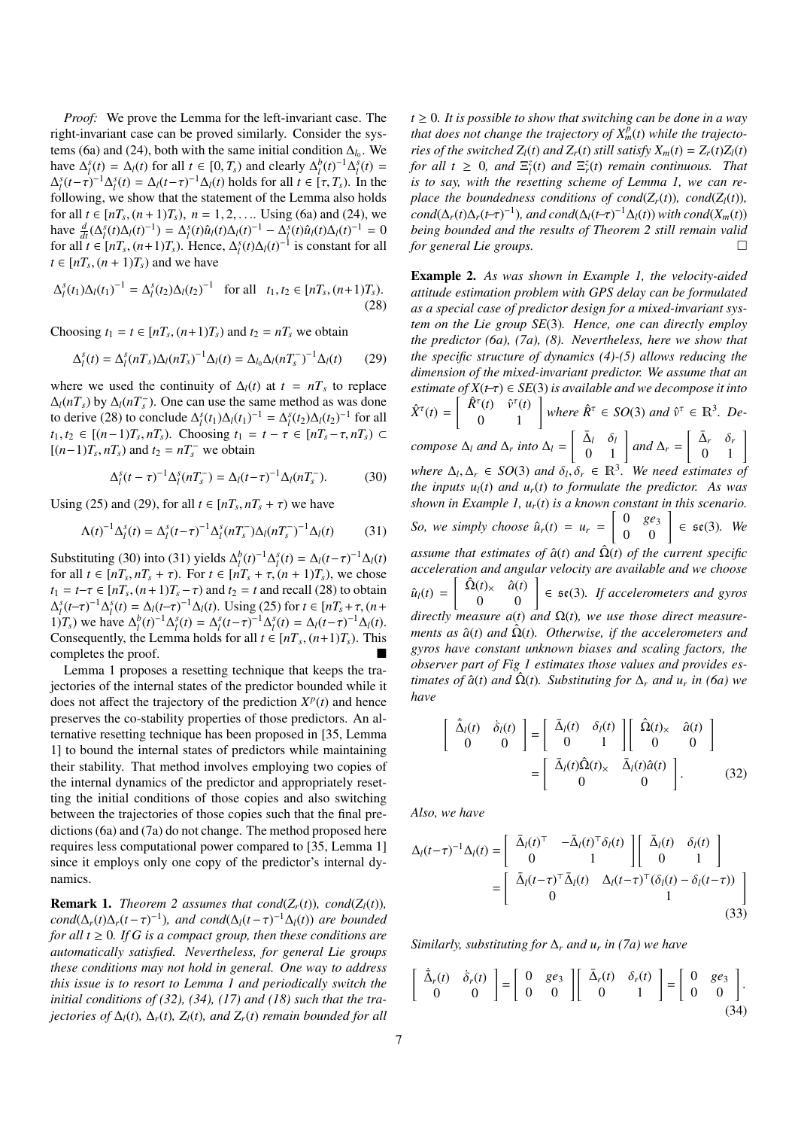*Proof:* We prove the Lemma for the left-invariant case. The right-invariant case can be proved similarly. Consider the systems (6a) and (24), both with the same initial condition  $\Delta_{l_0}$ . We have  $\Delta_i^s(t) = \Delta_i(t)$  for all  $t \in [0, T_s)$  and clearly  $\Delta_i^b(t)^{-1} \Delta_i^s(t) = \Delta_i^s(t - \tau)^{-1} \Delta_i^s(t) - \Delta_i(t - \tau)^{-1} \Delta_i(t)$  bolds for all  $t \in [T, T_s]$ . In the  $\Delta_i^s(t-\tau)^{-1}\Delta_i^s(t) = \Delta_i(t-\tau)^{-1}\Delta_i(t)$  holds for all  $t \in [\tau, T_s)$ . In the following we show that the statement of the I emma also holds following, we show that the statement of the Lemma also holds for all  $t \in [nT_s, (n+1)T_s)$ ,  $n = 1, 2, ...$  Using (6a) and (24), we have  $\frac{d}{dt}(\Lambda^s(t)\Lambda_t(t)^{-1}) = \Lambda^s(t)\hat{u}_t(t)\Lambda_t(t)^{-1} = \Lambda^s(t)\hat{u}_t(t)\Lambda_t(t)^{-1} = 0$ have  $\frac{d}{dt}(\Delta_l^s(t)\Delta_l(t)^{-1}) = \Delta_l^s(t)\hat{u}_l(t)\Delta_l(t)^{-1} - \Delta_l^s(t)\hat{u}_l(t)\Delta_l(t)^{-1} = 0$ for all  $t \in [nT_s, (n+1)T_s)$ . Hence,  $\Delta_i^s(t)\Delta_i(t)^{-1}$  is constant for all  $t \in [nT_s, (n+1)T_s)$  and we have  $t \in [nT_s, (n+1)T_s)$  and we have

$$
\Delta_l^s(t_1)\Delta_l(t_1)^{-1} = \Delta_l^s(t_2)\Delta_l(t_2)^{-1} \text{ for all } t_1, t_2 \in [nT_s, (n+1)T_s). \tag{28}
$$

Choosing  $t_1 = t \in [nT_s, (n+1)T_s)$  and  $t_2 = nT_s$  we obtain

$$
\Delta_l^s(t) = \Delta_l^s(nT_s)\Delta_l(nT_s)^{-1}\Delta_l(t) = \Delta_{l_0}\Delta_l(nT_s^-)^{-1}\Delta_l(t) \qquad (29)
$$

where we used the continuity of  $\Delta_l(t)$  at  $t = nT_s$  to replace  $\Delta_l(nT_s)$  by  $\Delta_l(nT_s)$ . One can use the same method as was done to derive (28) to conclude  $\Delta_l^s(t_1) \Delta_l(t_1)^{-1} = \Delta_l^s(t_2) \Delta_l(t_2)^{-1}$  for all  $t_1, t_2 \in [(n-1)T_s, nT_s)$ . Choosing  $t_1 = t - \tau \in [nT_s - \tau, nT_s) \subset [(n-1)T, nT)$  and  $t_2 = nT^-$  we obtain  $[(n-1)T_s, nT_s)$  and  $t_2 = nT_s^-$  we obtain

$$
\Delta_l^s (t - \tau)^{-1} \Delta_l^s (nT_s^-) = \Delta_l (t - \tau)^{-1} \Delta_l (nT_s^-). \tag{30}
$$

Using (25) and (29), for all  $t \in [nT_s, nT_s + \tau)$  we have

$$
\Lambda(t)^{-1} \Delta_l^s(t) = \Delta_l^s(t-\tau)^{-1} \Delta_l^s(nT_s^-) \Delta_l(nT_s^-)^{-1} \Delta_l(t)
$$
 (31)

Substituting (30) into (31) yields  $\Delta_i^b(t)^{-1} \Delta_i^s(t) = \Delta_i(t-\tau)^{-1} \Delta_i(t)$ <br>for all  $t \in [nT, nT + \tau)$ . For  $t \in [nT + \tau (n + 1)T)$ , we chose for all  $t \in [nT_s, nT_s + \tau)$ . For  $t \in [nT_s + \tau, (n + 1)T_s)$ , we chose  $t_t = t - \tau \in [nT_s, (n+1)T - \tau)$  and  $t_0 = t$  and recall (28) to obtain *t*<sub>1</sub> = *t*- $\tau$  ∈ [*nT*<sub>*s*</sub></sub>, (*n* + 1)*T*<sub>*s*</sub> −  $\tau$ ) and *t*<sub>2</sub> = *t* and recall (28) to obtain  $\Delta^{s}(t-\tau)^{-1}\Delta^{s}(t) - \Delta(t-\tau)^{-1}\Delta(t)$  Using (25) for  $t \in [nT + \tau (n+\tau)]$  $\Delta_i^s(t-\tau)^{-1}\Delta_i^s(t) = \Delta_i(t-\tau)^{-1}\Delta_i(t)$ . Using (25) for  $t \in [nT_s + \tau, (n+\tau)^{-1}]$ <br>1) *T* ) we have  $\Delta_i^b(t)^{-1}\Delta_i^s(t) - \Delta_i^s(t-\tau)^{-1}\Delta_i^s(t) - \Delta_i(t-\tau)^{-1}\Delta_i(t)$ 1) $T_s$ ) we have  $\Delta_l^b(t)^{-1}\Delta_l^s(t) = \Delta_l^s(t-\tau)^{-1}\Delta_l^s(t) = \Delta_l(t-\tau)^{-1}\Delta_l(t)$ .<br>Consequently the Lemma holds for all  $t \in [nT - (n+1)T)$ . This Consequently, the Lemma holds for all  $t \in [nT_s, (n+1)T_s)$ . This completes the proof.

Lemma 1 proposes a resetting technique that keeps the trajectories of the internal states of the predictor bounded while it does not affect the trajectory of the prediction  $X^p(t)$  and hence preserves the co-stability properties of those predictors. An alternative resetting technique has been proposed in [35, Lemma 1] to bound the internal states of predictors while maintaining their stability. That method involves employing two copies of the internal dynamics of the predictor and appropriately resetting the initial conditions of those copies and also switching between the trajectories of those copies such that the final predictions (6a) and (7a) do not change. The method proposed here requires less computational power compared to [35, Lemma 1] since it employs only one copy of the predictor's internal dynamics.

**Remark 1.** *Theorem 2 assumes that cond* $(Z_r(t))$ *, cond* $(Z_l(t))$ *,*  $cond(\Delta_r(t)\Delta_r(t-\tau)^{-1})$ *, and cond*( $\Delta_l(t-\tau)^{-1}\Delta_l(t)$ ) *are bounded* for all  $t > 0$ . If G is a compact aroun then these conditions are *for all t*  $\geq 0$ *. If G is a compact group, then these conditions are automatically satisfied. Nevertheless, for general Lie groups these conditions may not hold in general. One way to address this issue is to resort to Lemma 1 and periodically switch the initial conditions of (32), (34), (17) and (18) such that the trajectories of*  $\Delta_l(t)$ *,*  $\Delta_r(t)$ *, Z*<sub>*l*</sub>(*t*)*, and Z*<sub>*r*</sub>(*t*) *remain bounded for all*   $t \geq 0$ *. It is possible to show that switching can be done in a way that does not change the trajectory of*  $X_m^p(t)$  *while the trajectories of the switched*  $Z_l(t)$  *and*  $Z_r(t)$  *still satisfy*  $X_m(t) = Z_r(t)Z_l(t)$ *for all*  $t \geq 0$ *, and*  $\Xi_l^z(t)$  *and*  $\Xi_r^z(t)$  *remain continuous. That is to say, with the resetting scheme of Lemma 1, we can replace the boundedness conditions of cond* $(Z_r(t))$ *, cond* $(Z_l(t))$ *,*  $cond(\Delta_r(t)\Delta_r(t-\tau)^{-1})$ , and  $cond(\Delta_l(t-\tau)^{-1}\Delta_l(t))$  with  $cond(X_m(t))$  being hounded and the results of Theorem 2 still remain valid *being bounded and the results of Theorem 2 still remain valid for general Lie groups.*

Example 2. *As was shown in Example 1, the velocity-aided attitude estimation problem with GPS delay can be formulated as a special case of predictor design for a mixed-invariant system on the Lie group SE*(3)*. Hence, one can directly employ the predictor (6a), (7a), (8). Nevertheless, here we show that the specific structure of dynamics (4)-(5) allows reducing the dimension of the mixed-invariant predictor. We assume that an estimate of X*(*t*− $\tau$ ) ∈ *SE*(3) *is available and we decompose it into*  $\hat{X}^{\tau}(t) = \begin{bmatrix} \hat{R}^{\tau}(t) & \hat{v}^{\tau}(t) \\ 0 & 1 \end{bmatrix}$  where  $\hat{R}^{\tau} \in SO(3)$  and  $\hat{v}^{\tau} \in \mathbb{R}^{3}$ . De- $\therefore$  *compose*  $\Delta_l$  *and*  $\Delta_r$  *into*  $\Delta_l = \begin{bmatrix} \overline{\Delta}_l & \delta_l \\ 0 & 1 \end{bmatrix}$  *and*  $\Delta_r = \begin{bmatrix} \overline{\Delta}_r & \delta_r \\ 0 & 1 \end{bmatrix}$ *where*  $\Delta_l, \Delta_r \in SO(3)$  *and*  $\delta_l, \delta_r \in \mathbb{R}^3$ . We need estimates of the inputs  $u(t)$  and  $u(t)$  to formulate the predictor. As was *the inputs*  $u_l(t)$  *and*  $u_r(t)$  *to formulate the predictor. As was shown in Example 1, ur*(*t*) *is a known constant in this scenario. So, we simply choose*  $\hat{u}_r(t) = u_r = \begin{bmatrix} 0 & ge_3 \\ 0 & 0 \end{bmatrix} \in \mathfrak{se}(3)$ *. We assume that estimates of*  $\hat{a}(t)$  *and*  $\hat{\Omega}(t)$  *of the current specific acceleration and angular velocity are available and we choose*  $\hat{u}_l(t)$  = [  $\hat{\Omega}(t)_{\times}$   $\hat{a}(t)$   $\begin{bmatrix} 0 & 0 \end{bmatrix}$ ∈ se(3)*. If accelerometers and gyros*  $\frac{d}{dt}$  *directly measure a(t) and*  $\Omega(t)$ *, we use those direct measurements as*  $\hat{a}(t)$  *and*  $\hat{\Omega}(t)$ *. Otherwise, if the accelerometers and gyros have constant unknown biases and scaling factors, the observer part of Fig 1 estimates those values and provides estimates of*  $\hat{a}(t)$  *and*  $\hat{\Omega}(t)$ *. Substituting for*  $\Delta_r$  *and*  $u_r$  *in* (6*a*) we *have*

$$
\begin{bmatrix}\n\dot{\Delta}_l(t) & \dot{\delta}_l(t) \\
0 & 0\n\end{bmatrix} = \begin{bmatrix}\n\bar{\Delta}_l(t) & \delta_l(t) \\
0 & 1\n\end{bmatrix} \begin{bmatrix}\n\hat{\Omega}(t)_{\times} & \hat{a}(t) \\
0 & 0\n\end{bmatrix}
$$
\n
$$
= \begin{bmatrix}\n\bar{\Delta}_l(t)\hat{\Omega}(t)_{\times} & \bar{\Delta}_l(t)\hat{a}(t) \\
0 & 0\n\end{bmatrix}.
$$
\n(32)

*Also, we have*

$$
\Delta_l(t-\tau)^{-1}\Delta_l(t) = \begin{bmatrix}\n\bar{\Delta}_l(t)^\top & -\bar{\Delta}_l(t)^\top \delta_l(t) \\
0 & 1\n\end{bmatrix} \begin{bmatrix}\n\bar{\Delta}_l(t) & \delta_l(t) \\
0 & 1\n\end{bmatrix}
$$
\n
$$
= \begin{bmatrix}\n\bar{\Delta}_l(t-\tau)^\top \bar{\Delta}_l(t) & \Delta_l(t-\tau)^\top (\delta_l(t) - \delta_l(t-\tau)) \\
0 & 1\n\end{bmatrix}
$$
\n(33)

*Similarly, substituting for* ∆*<sup>r</sup> and u<sup>r</sup> in (7a) we have*

$$
\left[\begin{array}{cc} \dot{\Delta}_r(t) & \dot{\delta}_r(t) \\ 0 & 0 \end{array}\right] = \left[\begin{array}{cc} 0 & ge_3 \\ 0 & 0 \end{array}\right] \left[\begin{array}{cc} \bar{\Delta}_r(t) & \delta_r(t) \\ 0 & 1 \end{array}\right] = \left[\begin{array}{cc} 0 & ge_3 \\ 0 & 0 \end{array}\right].
$$
\n(34)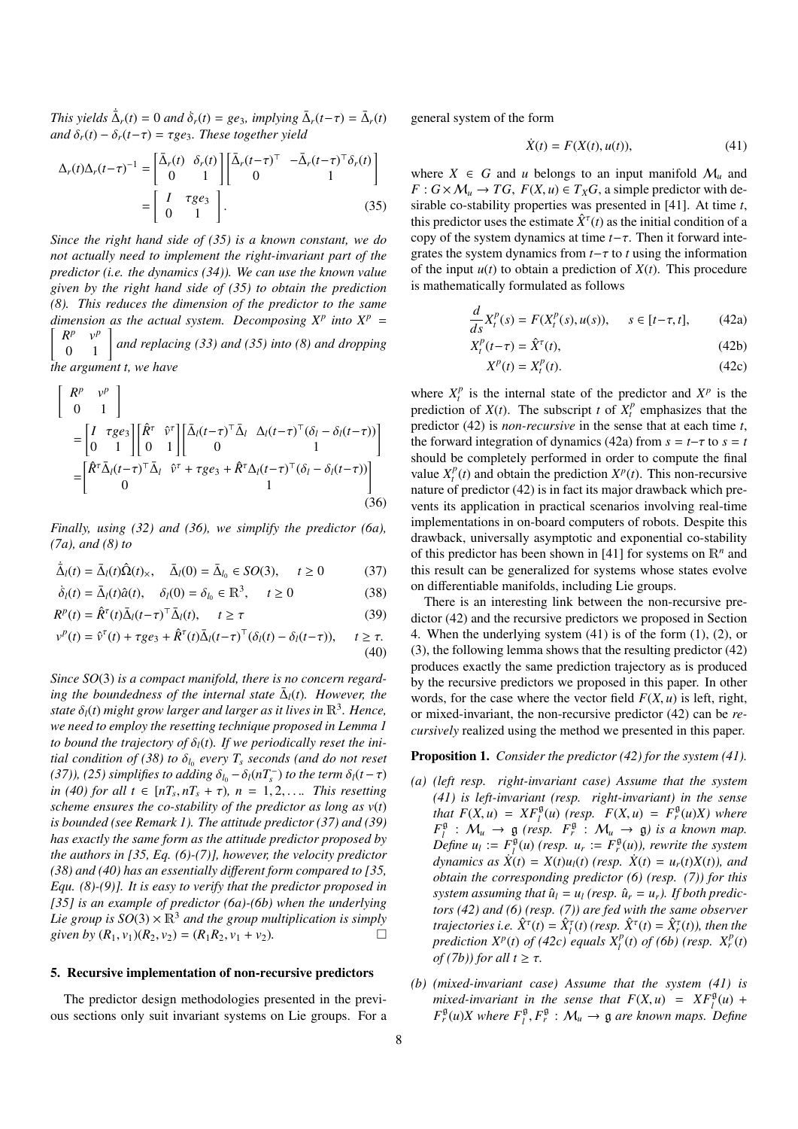*This yields*  $\dot{\Delta}_r(t) = 0$  *and*  $\dot{\delta}_r(t) = ge_3$ *, implying*  $\bar{\Delta}_r(t-\tau) = \bar{\Delta}_r(t)$ <br>*and*  $\delta(t) = \delta(t-\tau) = \tau a e_2$ . *These together yield and*  $\delta_r(t) - \delta_r(t-\tau) = \tau g e_3$ *. These together yield* 

$$
\Delta_r(t)\Delta_r(t-\tau)^{-1} = \begin{bmatrix} \bar{\Delta}_r(t) & \delta_r(t) \\ 0 & 1 \end{bmatrix} \begin{bmatrix} \bar{\Delta}_r(t-\tau)^{\top} & -\bar{\Delta}_r(t-\tau)^{\top}\delta_r(t) \\ 0 & 1 \end{bmatrix}
$$

$$
= \begin{bmatrix} I & \tau g e_3 \\ 0 & 1 \end{bmatrix}.
$$
(35)

*Since the right hand side of (35) is a known constant, we do not actually need to implement the right-invariant part of the predictor (i.e. the dynamics (34)). We can use the known value given by the right hand side of (35) to obtain the prediction (8). This reduces the dimension of the predictor to the same dimension as the actual system. Decomposing*  $X^p$  *into*  $X^p$  = [ *R p v p*  $0 \quad 1$ *and replacing (33) and (35) into (8) and dropping the argument t, we have*

$$
\begin{bmatrix}\nR^p & v^p \\
0 & 1\n\end{bmatrix}\n= \begin{bmatrix}\nI & \tau g e_3 \\
0 & 1\n\end{bmatrix}\n\begin{bmatrix}\n\hat{R}^\tau & \hat{v}^\tau \\
0 & 1\n\end{bmatrix}\n\begin{bmatrix}\n\bar{\Delta}_l (t-\tau)^\top \bar{\Delta}_l & \Delta_l (t-\tau)^\top (\delta_l - \delta_l (t-\tau)) \\
0 & 1\n\end{bmatrix}\n= \begin{bmatrix}\n\hat{R}^\tau \bar{\Delta}_l (t-\tau)^\top \bar{\Delta}_l & \hat{v}^\tau + \tau g e_3 + \hat{R}^\tau \Delta_l (t-\tau)^\top (\delta_l - \delta_l (t-\tau)) \\
0 & 1\n\end{bmatrix}
$$
\n(36)

*Finally, using (32) and (36), we simplify the predictor (6a), (7a), and (8) to*

$$
\dot{\bar{\Delta}}_l(t) = \bar{\Delta}_l(t)\hat{\Omega}(t)_\times, \quad \bar{\Delta}_l(0) = \bar{\Delta}_{l_0} \in SO(3), \quad t \ge 0 \tag{37}
$$

$$
\dot{\delta}_l(t) = \bar{\Delta}_l(t)\hat{a}(t), \quad \delta_l(0) = \delta_{l_0} \in \mathbb{R}^3, \quad t \ge 0
$$
\n(38)

$$
R^{p}(t) = \hat{R}^{\tau}(t)\bar{\Delta}_{l}(t-\tau)^{\top}\bar{\Delta}_{l}(t), \qquad t \geq \tau
$$
\n(39)

$$
v^{p}(t) = \hat{v}^{\tau}(t) + \tau g e_3 + \hat{R}^{\tau}(t) \bar{\Delta}_l (t - \tau)^{\top} (\delta_l(t) - \delta_l(t - \tau)), \quad t \ge \tau.
$$
\n(40)

*Since SO*(3) *is a compact manifold, there is no concern regard-* $\overline{h}$  *ing the boundedness of the internal state*  $\overline{\Delta}_l(t)$ *. However, the state*  $\delta_l(t)$  might grow larger and larger as it lives in  $\mathbb{R}^3$ *. Hence,*<br>we need to employ the resetting technique proposed in Lemma 1. *we need to employ the resetting technique proposed in Lemma 1 to bound the trajectory of*  $\delta_l(t)$ *. If we periodically reset the initial condition of (38) to*  $\delta_{l_0}$  every  $T_s$  seconds (and do not reset (37)) (25) simplifies to adding  $\delta_t = \delta_t(nT^-)$  to the term  $\delta_t(t-\tau)$ (37)), (25) simplifies to adding  $\delta_{l_0} - \delta_l(nT_s^-)$  to the term  $\delta_l(t-\tau)$ <br>in (40) for all  $t \in [nT, nT + \tau)$ ,  $n - 1$ , 2. This resetting *in (40) for all t* ∈  $[nT_s, nT_s + \tau)$ , *n* = 1, 2, ... *... This resetting* scheme ensures the co-stability of the predictor as long as y(t) *scheme ensures the co-stability of the predictor as long as v*(*t*) *is bounded (see Remark 1). The attitude predictor (37) and (39) has exactly the same form as the attitude predictor proposed by the authors in [35, Eq. (6)-(7)], however, the velocity predictor (38) and (40) has an essentially di*ff*erent form compared to [35, Equ. (8)-(9)]. It is easy to verify that the predictor proposed in [35] is an example of predictor (6a)-(6b) when the underlying Lie group is*  $SO(3) \times \mathbb{R}^3$  *and the group multiplication is simply given by*  $(R_1, v_1)(R_2, v_2) = (R_1R_2, v_1 + v_2)$ .

#### 5. Recursive implementation of non-recursive predictors

The predictor design methodologies presented in the previous sections only suit invariant systems on Lie groups. For a general system of the form

$$
\dot{X}(t) = F(X(t), u(t)),\tag{41}
$$

where  $X \in G$  and *u* belongs to an input manifold  $M_u$  and  $F: G \times \mathcal{M}_u \to TG$ ,  $F(X, u) \in T_XG$ , a simple predictor with desirable co-stability properties was presented in [41]. At time *t*, this predictor uses the estimate  $\hat{X}^{\tau}(t)$  as the initial condition of a copy of the system dynamics at time *<sup>t</sup>*−τ. Then it forward integrates the system dynamics from *<sup>t</sup>*−τ to *<sup>t</sup>* using the information of the input  $u(t)$  to obtain a prediction of  $X(t)$ . This procedure is mathematically formulated as follows

$$
\frac{d}{ds}X_t^p(s) = F(X_t^p(s), u(s)), \quad s \in [t-\tau, t], \tag{42a}
$$

$$
X_t^p(t-\tau) = \hat{X}^\tau(t),\tag{42b}
$$

$$
X^p(t) = X_t^p(t). \tag{42c}
$$

where  $X_t^p$  is the internal state of the predictor and  $X^p$  is the prediction of  $X(t)$ . The subscript *t* of  $X_t^p$  emphasizes that the predictor (42) is *non-recursive* in the sense that at each time *t*, the forward integration of dynamics (42a) from  $s = t - \tau$  to  $s = t$ should be completely performed in order to compute the final value  $X_t^p(t)$  and obtain the prediction  $X^p(t)$ . This non-recursive nature of predictor (42) is in fact its major drawback which prevents its application in practical scenarios involving real-time implementations in on-board computers of robots. Despite this drawback, universally asymptotic and exponential co-stability of this predictor has been shown in [41] for systems on  $\mathbb{R}^n$  and this result can be generalized for systems whose states evolve on differentiable manifolds, including Lie groups.

There is an interesting link between the non-recursive predictor (42) and the recursive predictors we proposed in Section 4. When the underlying system (41) is of the form (1), (2), or (3), the following lemma shows that the resulting predictor (42) produces exactly the same prediction trajectory as is produced by the recursive predictors we proposed in this paper. In other words, for the case where the vector field  $F(X, u)$  is left, right, or mixed-invariant, the non-recursive predictor (42) can be *recursively* realized using the method we presented in this paper.

#### Proposition 1. *Consider the predictor (42) for the system (41).*

- *(a) (left resp. right-invariant case) Assume that the system (41) is left-invariant (resp. right-invariant) in the sense that*  $F(X, u) = XF_1^{\mathfrak{g}}(u)$  (resp.  $F(X, u) = F_r^{\mathfrak{g}}(u)X$ ) where  $F^{\mathfrak{g}} \cdot M \rightarrow g$  (resp.  $F^{\mathfrak{g}} \cdot M \rightarrow g$ ) is a known map  $F_i^{\mathfrak{g}}$  $\frac{a}{l}: M_u \to \mathfrak{g}$  (resp.  $F_r^{\mathfrak{g}}: M_u \to \mathfrak{g}$ ) is a known map. *Define*  $u_l := F_l^{\mathfrak{g}}$  $\int_l^{\mathfrak{g}}(u)$  *(resp.*  $u_r := F_r^{\mathfrak{g}}(u)$ *), rewrite the system dynamics as*  $\dot{X}(t) = X(t)u_1(t)$  (resp.  $\dot{X}(t) = u_r(t)X(t)$ ), and *obtain the corresponding predictor (6) (resp. (7)) for this system assuming that*  $\hat{u}_l = u_l$  (*resp.*  $\hat{u}_r = u_r$ *). If both predictors (42) and (6) (resp. (7)) are fed with the same observer trajectories i.e.*  $\hat{X}^{\tau}(t) = \hat{X}^{\tau}_{l}(t)$  (resp.  $\hat{X}^{\tau}(t) = \hat{X}^{\tau}_{r}(t)$ ), then the *prediction*  $X^p(t)$  *of*  $(42c)$  *equals*  $X^p_l(t)$  *of*  $(6b)$  (*resp.*  $X^p_r(t)$ *of* (7b)) for all  $t \geq \tau$ .
- *(b) (mixed-invariant case) Assume that the system (41) is mixed-invariant in the sense that*  $F(X, u) = XF_1^{\mathfrak{g}}(u) + F_2^{\mathfrak{g}}(u)X$  where  $F_1^{\mathfrak{g}} \cdot M \rightarrow$  a are known mans. Define  $F_r^{\mathfrak{g}}(u)X$  where  $F_l^{\mathfrak{g}}, F_r^{\mathfrak{g}} : \mathcal{M}_u \to \mathfrak{g}$  are known maps. Define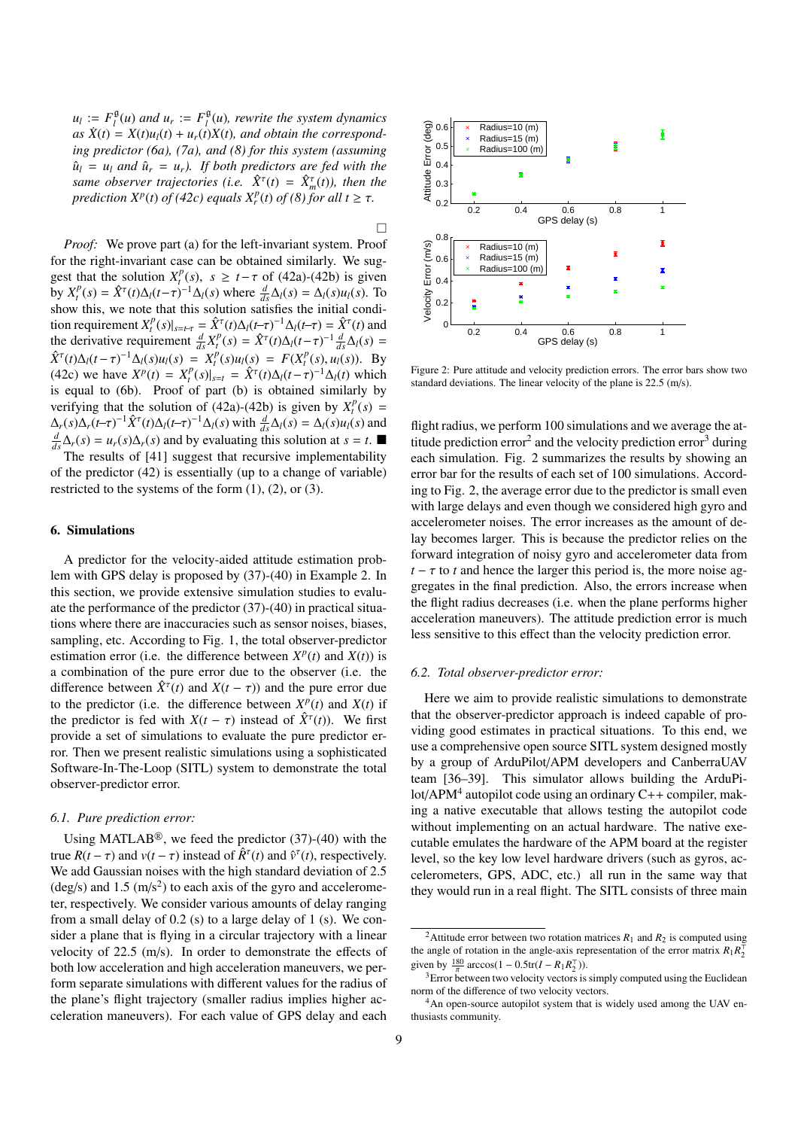$u_l := F_l^{\mathfrak{g}}$  $\int_l^{\mathfrak{g}}(u)$  *and*  $u_r := F_l^{\mathfrak{g}}$ *l* (*u*)*, rewrite the system dynamics* as  $\dot{X}(t) = X(t)u_1(t) + u_r(t)X(t)$ , and obtain the correspond*ing predictor (6a), (7a), and (8) for this system (assuming*  $\hat{u}_l = u_l$  *and*  $\hat{u}_r = u_r$ *). If both predictors are fed with the same observer trajectories (i.e.*  $\hat{X}^{\tau}(t) = \hat{X}^{\tau}_{m}(t)$ ), then the *prediction*  $X^p(t)$  *of* (42*c*) *equals*  $X^p_r(t)$  *of* (8) for all  $t \ge \tau$ .

 $\Box$ 

*Proof:* We prove part (a) for the left-invariant system. Proof for the right-invariant case can be obtained similarly. We suggest that the solution  $X_t^p(s)$ ,  $s \ge t - \tau$  of (42a)-(42b) is given<br>by  $X^p(s) = \hat{X}^{\tau}(t)\Lambda_t(t-\tau)^{-1}\Lambda_t(s)$  where  $\frac{d}{dt}\Lambda_t(s) = \Lambda_t(s)u_t(s)$ . To **b**y  $X_t^p(s) = \hat{X}^\tau(t)\Delta_l(t-\tau)^{-1}\Delta_l(s)$  where  $\frac{d}{ds}\Delta_l(s) = \Delta_l(s)u_l(s)$ . To show this we note that this solution satisfies the initial condishow this, we note that this solution satisfies the initial condition requirement  $X_t^p(s)|_{s=t-\tau} = \hat{X}^\tau(t)\Delta_l(t-\tau)^{-1}\Delta_l(t-\tau) = \hat{X}^\tau(t)$  and<br>the derivative requirement  $\frac{d}{dt}Y^p(s) - \hat{Y}^\tau(t)\Delta_l(t-\tau)^{-1}\frac{d}{dt}\Delta_l(s)$ the derivative requirement  $\frac{d}{dx}X_t^p(s) = \hat{X}^\tau(t)\Delta_l(t-\tau)^{-1}\frac{d}{ds}\Delta_l(s) = \hat{X}^\tau(t)\Delta_l(t-\tau)^{-1}\Delta_l(s)X_t(s) - \frac{V^p(s)}{ds}\Delta_l(s)$  $\hat{X}^{\tau}(t)\Delta_l(t-\tau)^{-1}\Delta_l(s)u_l(s) = X_l^p(s)u_l(s) = F(X_l^p(s), u_l(s))$ . By<br>(42c) we have  $X_l^p(t) - X_l^p(s) = \hat{X}^{\tau}(t)\Delta_l(t-\tau)^{-1}\Delta_l(t)$  which (42c) we have  $X^p(t) = X_i^p(s)|_{s=t} = \hat{X}^\tau(t)\Delta_i(t-\tau)^{-1}\Delta_i(t)$  which is equal to (6b). Proof of part (b) is obtained similarly by is equal to (6b). Proof of part (b) is obtained similarly by verifying that the solution of (42a)-(42b) is given by  $X_t^p(s)$  =  $\Delta_r(s)\Delta_r(t-\tau)^{-1}\hat{X}^{\tau}(t)\Delta_l(t-\tau)^{-1}\Delta_l(s)$  with  $\frac{d}{ds}\Delta_l(s) = \Delta_l(s)u_l(s)$  and  $\frac{d}{ds}\Delta_l(s) = u_s(s)\Delta_l(s)$  and by qualitating this solution at  $s = t$ . *d<sub>s</sub>*  $\Delta$ *r*(*s*) = *u<sub>r</sub>*(*s*) $\Delta$ *r*(*s*) and by evaluating this solution at *s* = *t*. ■

The results of [41] suggest that recursive implementability of the predictor (42) is essentially (up to a change of variable) restricted to the systems of the form  $(1)$ ,  $(2)$ , or  $(3)$ .

## 6. Simulations

A predictor for the velocity-aided attitude estimation problem with GPS delay is proposed by (37)-(40) in Example 2. In this section, we provide extensive simulation studies to evaluate the performance of the predictor (37)-(40) in practical situations where there are inaccuracies such as sensor noises, biases, sampling, etc. According to Fig. 1, the total observer-predictor estimation error (i.e. the difference between  $X^p(t)$  and  $X(t)$ ) is a combination of the pure error due to the observer (i.e. the difference between  $\hat{X}^{\tau}(t)$  and  $X(t - \tau)$ ) and the pure error due<br>to the predictor (i.e., the difference between  $X^{p}(t)$  and  $X(t)$  if to the predictor (i.e. the difference between  $X^p(t)$  and  $X(t)$  if the predictor is fed with  $X(t - \tau)$  instead of  $\hat{X}^{\tau}(t)$ ). We first<br>provide a set of simulations to evaluate the pure predictor erprovide a set of simulations to evaluate the pure predictor error. Then we present realistic simulations using a sophisticated Software-In-The-Loop (SITL) system to demonstrate the total observer-predictor error.

#### *6.1. Pure prediction error:*

Using MATLAB $\mathcal{B}$ , we feed the predictor (37)-(40) with the true  $R(t - \tau)$  and  $v(t - \tau)$  instead of  $\hat{R}^{\tau}(t)$  and  $\hat{v}^{\tau}(t)$ , respectively.<br>We add Gaussian poises with the bigh standard deviation of 2.5 We add Gaussian noises with the high standard deviation of 2.<sup>5</sup>  $(\text{deg/s})$  and 1.5  $(m/s^2)$  to each axis of the gyro and accelerometer respectively. We consider various amounts of delay ranging ter, respectively. We consider various amounts of delay ranging from a small delay of 0.2 (s) to a large delay of 1 (s). We consider a plane that is flying in a circular trajectory with a linear velocity of <sup>22</sup>.<sup>5</sup> (m/s). In order to demonstrate the effects of both low acceleration and high acceleration maneuvers, we perform separate simulations with different values for the radius of the plane's flight trajectory (smaller radius implies higher acceleration maneuvers). For each value of GPS delay and each



Figure 2: Pure attitude and velocity prediction errors. The error bars show two standard deviations. The linear velocity of the plane is 22.5 (m/s).

flight radius, we perform 100 simulations and we average the attitude prediction error<sup>2</sup> and the velocity prediction error<sup>3</sup> during each simulation. Fig. 2 summarizes the results by showing an error bar for the results of each set of 100 simulations. According to Fig. 2, the average error due to the predictor is small even with large delays and even though we considered high gyro and accelerometer noises. The error increases as the amount of delay becomes larger. This is because the predictor relies on the forward integration of noisy gyro and accelerometer data from  $t - \tau$  to *t* and hence the larger this period is, the more noise aggregates in the final prediction. Also, the errors increase when the flight radius decreases (i.e. when the plane performs higher acceleration maneuvers). The attitude prediction error is much less sensitive to this effect than the velocity prediction error.

#### *6.2. Total observer-predictor error:*

Here we aim to provide realistic simulations to demonstrate that the observer-predictor approach is indeed capable of providing good estimates in practical situations. To this end, we use a comprehensive open source SITL system designed mostly by a group of ArduPilot/APM developers and CanberraUAV team [36–39]. This simulator allows building the ArduPilot/APM<sup>4</sup> autopilot code using an ordinary C++ compiler, making a native executable that allows testing the autopilot code without implementing on an actual hardware. The native executable emulates the hardware of the APM board at the register level, so the key low level hardware drivers (such as gyros, accelerometers, GPS, ADC, etc.) all run in the same way that they would run in a real flight. The SITL consists of three main

<sup>&</sup>lt;sup>2</sup>Attitude error between two rotation matrices  $R_1$  and  $R_2$  is computed using the angle of rotation in the angle-axis representation of the error matrix  $R_1 R_2^{\dagger}$ given by  $\frac{180}{\pi}$  arccos(1 – 0.5tr( $I - R_1 R_2^{\top}$ )).<br><sup>3</sup> Error between two velocity vectors is

<sup>&</sup>lt;sup>3</sup> Error between two velocity vectors is simply computed using the Euclidean norm of the difference of two velocity vectors.

<sup>&</sup>lt;sup>4</sup>An open-source autopilot system that is widely used among the UAV enthusiasts community.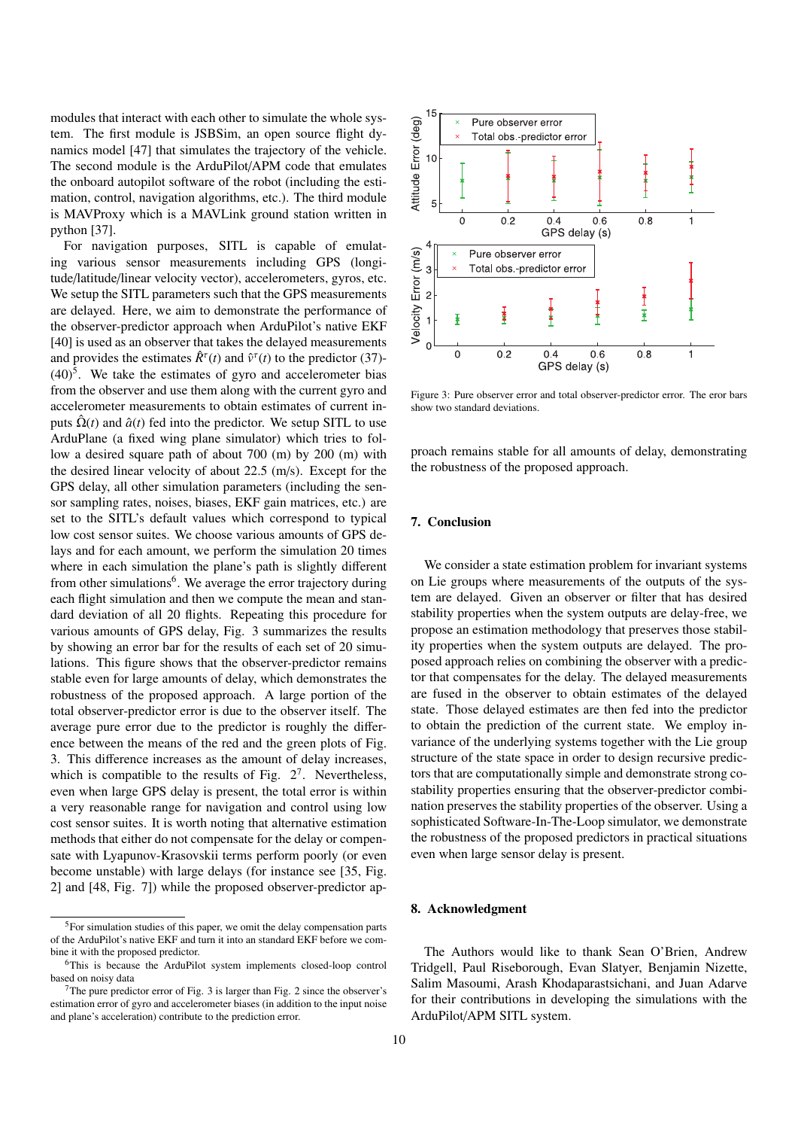modules that interact with each other to simulate the whole system. The first module is JSBSim, an open source flight dynamics model [47] that simulates the trajectory of the vehicle. The second module is the ArduPilot/APM code that emulates the onboard autopilot software of the robot (including the estimation, control, navigation algorithms, etc.). The third module is MAVProxy which is a MAVLink ground station written in python [37].

For navigation purposes, SITL is capable of emulating various sensor measurements including GPS (longitude/latitude/linear velocity vector), accelerometers, gyros, etc. We setup the SITL parameters such that the GPS measurements are delayed. Here, we aim to demonstrate the performance of the observer-predictor approach when ArduPilot's native EKF [40] is used as an observer that takes the delayed measurements and provides the estimates  $\hat{R}^{\tau}(t)$  and  $\hat{v}^{\tau}(t)$  to the predictor (37)- $(40)^5$ . We take the estimates of gyro and accelerometer bias from the observer and use them along with the current gyro and accelerometer measurements to obtain estimates of current inputs  $\hat{\Omega}(t)$  and  $\hat{a}(t)$  fed into the predictor. We setup SITL to use ArduPlane (a fixed wing plane simulator) which tries to follow a desired square path of about 700 (m) by 200 (m) with the desired linear velocity of about 22.5 (m/s). Except for the GPS delay, all other simulation parameters (including the sensor sampling rates, noises, biases, EKF gain matrices, etc.) are set to the SITL's default values which correspond to typical low cost sensor suites. We choose various amounts of GPS delays and for each amount, we perform the simulation 20 times where in each simulation the plane's path is slightly different from other simulations<sup>6</sup>. We average the error trajectory during each flight simulation and then we compute the mean and standard deviation of all 20 flights. Repeating this procedure for various amounts of GPS delay, Fig. 3 summarizes the results by showing an error bar for the results of each set of 20 simulations. This figure shows that the observer-predictor remains stable even for large amounts of delay, which demonstrates the robustness of the proposed approach. A large portion of the total observer-predictor error is due to the observer itself. The average pure error due to the predictor is roughly the difference between the means of the red and the green plots of Fig. 3. This difference increases as the amount of delay increases, which is compatible to the results of Fig.  $2^7$ . Nevertheless, even when large GPS delay is present, the total error is within a very reasonable range for navigation and control using low cost sensor suites. It is worth noting that alternative estimation methods that either do not compensate for the delay or compensate with Lyapunov-Krasovskii terms perform poorly (or even become unstable) with large delays (for instance see [35, Fig. 2] and [48, Fig. 7]) while the proposed observer-predictor ap-



Figure 3: Pure observer error and total observer-predictor error. The eror bars show two standard deviations.

proach remains stable for all amounts of delay, demonstrating the robustness of the proposed approach.

## 7. Conclusion

We consider a state estimation problem for invariant systems on Lie groups where measurements of the outputs of the system are delayed. Given an observer or filter that has desired stability properties when the system outputs are delay-free, we propose an estimation methodology that preserves those stability properties when the system outputs are delayed. The proposed approach relies on combining the observer with a predictor that compensates for the delay. The delayed measurements are fused in the observer to obtain estimates of the delayed state. Those delayed estimates are then fed into the predictor to obtain the prediction of the current state. We employ invariance of the underlying systems together with the Lie group structure of the state space in order to design recursive predictors that are computationally simple and demonstrate strong costability properties ensuring that the observer-predictor combination preserves the stability properties of the observer. Using a sophisticated Software-In-The-Loop simulator, we demonstrate the robustness of the proposed predictors in practical situations even when large sensor delay is present.

#### 8. Acknowledgment

The Authors would like to thank Sean O'Brien, Andrew Tridgell, Paul Riseborough, Evan Slatyer, Benjamin Nizette, Salim Masoumi, Arash Khodaparastsichani, and Juan Adarve for their contributions in developing the simulations with the ArduPilot/APM SITL system.

 ${}^{5}$ For simulation studies of this paper, we omit the delay compensation parts of the ArduPilot's native EKF and turn it into an standard EKF before we combine it with the proposed predictor.

<sup>6</sup>This is because the ArduPilot system implements closed-loop control based on noisy data

 $7$ The pure predictor error of Fig. 3 is larger than Fig. 2 since the observer's estimation error of gyro and accelerometer biases (in addition to the input noise and plane's acceleration) contribute to the prediction error.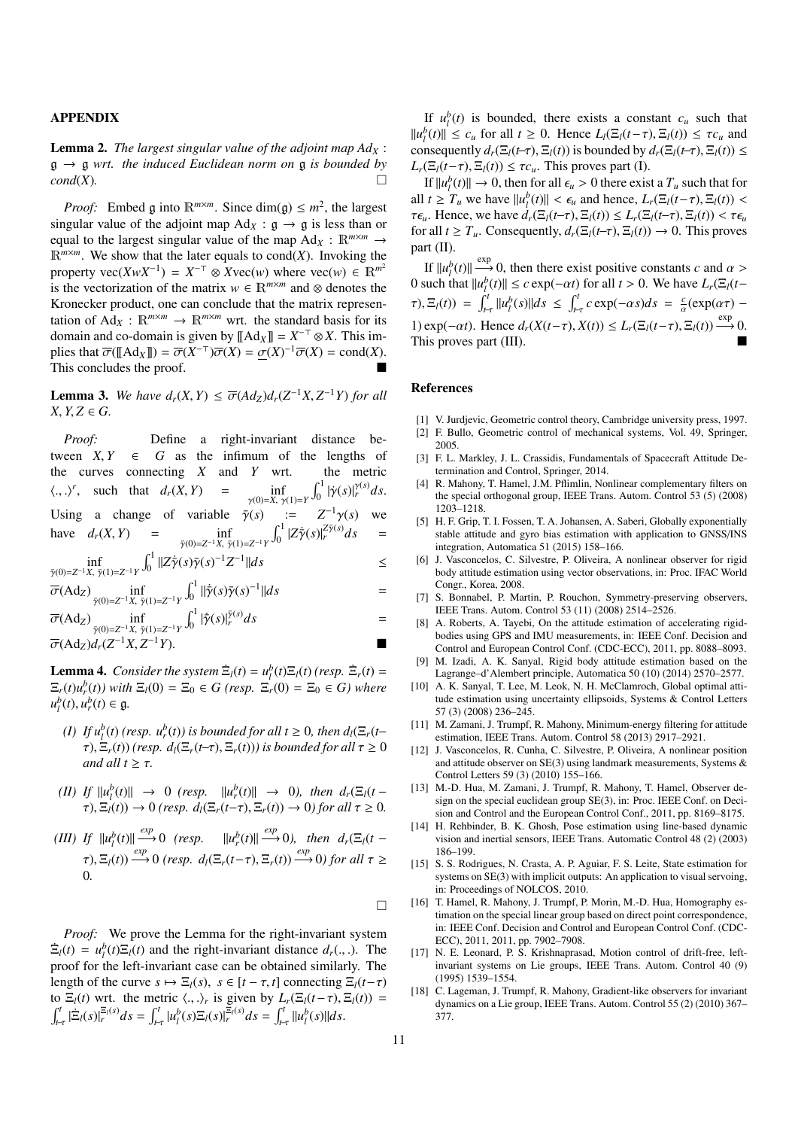## APPENDIX

Lemma 2. *The largest singular value of the adjoint map Ad<sup>X</sup>* : g → g *wrt. the induced Euclidean norm on* g *is bounded by*  $\Box$   $\Box$ 

*Proof:* Embed g into  $\mathbb{R}^{m \times m}$ . Since dim(g)  $\leq m^2$ , the largest singular value of the adjoint map  $Ad_X : g \to g$  is less than or equal to the largest singular value of the map  $Ad_X : \mathbb{R}^{m \times m} \rightarrow$  $\mathbb{R}^{m \times m}$ . We show that the later equals to cond(*X*). Invoking the property  $\text{vec}(XwX^{-1}) = X^{-\top} \otimes X\text{vec}(w)$  where  $\text{vec}(w) \in \mathbb{R}^{m^2}$ is the vectorization of the matrix  $w \in \mathbb{R}^{m \times m}$  and  $\otimes$  denotes the Kronecker product, one can conclude that the matrix representation of  $\text{Ad}_X : \mathbb{R}^{m \times m} \to \mathbb{R}^{m \times m}$  wrt. the standard basis for its domain and co-domain is given by  $[[Ad_X]] = X^{-\top} \otimes X$ . This implies that  $\overline{\sigma}([Ad_X]) = \overline{\sigma}(X^{-\top})\overline{\sigma}(X) = \underline{\sigma}(X)^{-1}\overline{\sigma}(X) = \text{cond}(X)$ .<br>This concludes the proof This concludes the proof.

**Lemma 3.** We have  $d_r(X, Y) \leq \overline{\sigma}(Ad_Z)d_r(Z^{-1}X, Z^{-1}Y)$  for all  $X, Y, Z \in \mathbb{C}$  $X, Y, Z \in G$ .

*Proof:* Define a right-invariant distance between  $X, Y \in G$  as the infimum of the lengths of the curves connecting  $X$  and  $Y$  wrt. the metric the curves connecting  $X$  and  $Y$  wrt.  $\langle ., . \rangle^r$ , such that  $d_r(X, Y) = \inf_{\gamma(0)=X, \gamma}$ γ(0)=*X*, γ(1)=*<sup>Y</sup>*  $\int_0^1 |\dot{\gamma}(s)|_r^{\gamma(s)} ds.$ Using a change of variable  $\bar{\gamma}(s) := Z^{-1}\gamma(s)$  we have  $d_r(X, Y) = \inf_{\bar{\gamma}(0) = Z^{-1}X, \ \bar{\gamma}(1) = Z^{-1}Y}$  $\bar{\gamma}(0)=Z$  $\int_0^1 |Z\dot{\bar{\gamma}}(s)|_r^{Z\bar{\gamma}(s)}ds =$ inf<br>*X*,  $\bar{\gamma}(1)=Z^{-1}Y$  $\bar{\gamma}(0)=Z^{-1}X, \ \bar{\gamma}(1)=Z$  $\int_0^1 ||Z\dot{\bar{\gamma}}(s)\bar{\gamma}(s)^{-1}Z^{-1}||ds$  ≤  $\overline{\sigma}(\text{Ad}_Z)$   $\lim_{\tilde{\gamma}(0)=Z^{-1}X, \ \tilde{\gamma}(1)=Z^{-1}Y}$  $\int_0^1 ||\dot{\bar{\gamma}}(s)\bar{\gamma}(s)^{-1}||ds =$ 

 $\overline{\sigma}(Ad_Z)$  inf<br>  $\overline{\gamma}(0)=Z^{-1}X$ ,  $\overline{\gamma}(1)=Z^{-1}Y$ <br>  $\overline{\gamma}(1) = (Z^{-1}X, Z^{-1}Y)$  $\int_0^1 |\dot{\bar{\gamma}}(s)|_r^{\bar{\gamma}(s)} ds =$  $\overline{\sigma}(\text{Ad}_Z)d_r(Z^{-1}X, Z^{-1}Y).$ 

**Lemma 4.** *Consider the system*  $\dot{\Xi}_l(t) = u_l^b(t)\Xi_l(t)$  *(resp.*  $\dot{\Xi}_r(t) =$  $\Xi_r(t)u_r^b(t)$  with  $\Xi_l(0) = \Xi_0 \in G$  (resp.  $\Xi_r(0) = \Xi_0 \in G$ ) where  $u_l^b(t), u_r^b(t) \in \mathfrak{g}.$ 

- *(I) If*  $u_l^b(t)$  (resp.  $u_r^b(t)$ ) is bounded for all  $t \ge 0$ , then  $d_l(\Xi_r(t-t))$  $(\tau)$ ,  $\Xi_r(t)$ ) (resp.  $d_l(\Xi_r(t-\tau), \Xi_r(t))$ ) is bounded for all  $\tau \geq 0$ *and all*  $t \geq \tau$ *.*
- $(H)$  *If*  $||u_l^b(t)|| \to 0$  (resp.  $||u_r^b(t)|| \to 0$ ), then  $d_r(\Xi_l(t \tau$ ),  $\Xi_l(t)$ )  $\to 0$  *(resp. d<sub>l</sub>*( $\Xi_r(t-\tau)$ ,  $\Xi_r(t)$ )  $\to 0$ *) for all*  $\tau \geq 0$ .
- *(III) If*  $||u_l^b(t)|| \stackrel{exp}{\longrightarrow} 0$  *(resp.*  $||u_r^b(t)|| \stackrel{exp}{\longrightarrow} 0$ *), then*  $d_r(\Xi_l(t \pi$ ,  $\Xi_l(t)$   $\stackrel{exp}{\longrightarrow} 0$  *(resp.*  $d_l(\Xi_r(t-\tau), \Xi_r(t)) \stackrel{exp}{\longrightarrow} 0$ *) for all*  $\tau \geq 0$ 0*.*

 $\Box$ 

*Proof:* We prove the Lemma for the right-invariant system  $\dot{E}_l(t) = u_l^b(t)\dot{E}_l(t)$  and the right-invariant distance  $d_r(.,.)$ . The proof for the left-invariant case can be obtained similarly. The proof for the left-invariant case can be obtained similarly. The length of the curve  $s \mapsto \Xi_l(s)$ ,  $s \in [t - \tau, t]$  connecting  $\Xi_l(t - \tau)$ to  $\Xi_l(t)$  wrt. the metric  $\langle ., . \rangle_r$  is given by  $L_r(\Xi_l(t-\tau), \Xi_l(t)) =$ <br>  $\int_1^t |\Xi_l(s)|_r^{\Xi_l(s)} ds = \int_1^t |u_r^h(s)\Xi_l(s)|_r^{\Xi_l(s)} ds = \int_1^t |u_r^h(s)||ds.$ *t*−τ  $|\dot{\Xi}_l(s)|_r^{\Xi_l(s)}ds = \int_{t_0}^{t_1}$  $\int_{t-\tau}^{t} |u_l^b(s) \Xi_l(s)|_r^{\Xi_l(s)} ds = \int_{t-\tau}^{t}$  $\int_{t-\tau}^{t} ||u_l^b(s)||ds.$ 

If  $u_l^b(t)$  is bounded, there exists a constant  $c_u$  such that  $||u_t^b(t)|| \le c_u$  for all  $t \ge 0$ . Hence  $L_l(\Xi_l(t-\tau), \Xi_l(t)) \le \tau c_u$  and consequently  $d(\Xi_l(t-\tau), \Xi_l(t))$  is bounded by  $d(\Xi_l(t-\tau), \Xi_l(t)) \le$ consequently  $d_r(\Xi_l(t-\tau), \Xi_l(t))$  is bounded by  $d_r(\Xi_l(t-\tau), \Xi_l(t)) \le$  $L_r(\Xi_l(t-\tau), \Xi_l(t)) \leq \tau c_u$ . This proves part (I).

If  $||u_t^b(t)|| \to 0$ , then for all  $\epsilon_u > 0$  there exist a  $T_u$  such that for  $t > T$ , we have  $||u_t^b(t)|| \leq \epsilon$  and hence  $I_r(\mathbb{E}t(t-\tau), \mathbb{E}t(t)) \leq$ all  $t \geq T_u$  we have  $||u_t^b(t)|| < \epsilon_u$  and hence,  $L_r(\Xi_l(t-\tau), \Xi_l(t)) < \tau \in$ <br>Hence we have  $d(\Xi_l(t-\tau), \Xi_l(t)) < I(\Xi_l(t-\tau), \Xi_l(t)) < \tau \in$  $\tau \epsilon_u$ . Hence, we have  $\dot{d}_r(\Xi_l(t-\tau), \Xi_l(t)) \leq L_r(\Xi_l(t-\tau), \Xi_l(t)) < \tau \epsilon_u$ for all  $t \geq T_u$ . Consequently,  $d_r(\Xi_l(t-\tau), \Xi_l(t)) \to 0$ . This proves part (II).

If  $||u_l^b(t)|| \xrightarrow{\exp} 0$ , then there exist positive constants *c* and  $\alpha >$ <br>such that  $||u_l^b(t)|| \leq c \exp(-\alpha t)$  for all  $t > 0$ . We have *I* (Fitt-0 such that  $||u_t^b(t)|| \leq c \exp(-\alpha t)$  for all  $t > 0$ . We have  $L_r(\Xi_t(t-\alpha))$  $\tau(t) = \int_{t-\tau}^{t} ||u_l^b(s)||ds \leq \int_{t-\tau}^{t} c \exp(-\alpha s)ds = \frac{c}{\alpha}(\exp(\alpha \tau) - \exp(-\alpha s))ds$  $\frac{f(t, \xi)}{t} = \int_{t-\tau}^t |a_t|^2 \sin(\omega t) \leq \int_{t-\tau}^t \exp(-\alpha t) \cdot \frac{f(t, \xi)}{t} = \int_{t-\tau}^t \exp(-\alpha t) \cdot \frac{f(t, \xi)}{t} = 0.$ <br>This proves part (III) This proves part (III).

# References

- [1] V. Jurdjevic, Geometric control theory, Cambridge university press, 1997.
- [2] F. Bullo, Geometric control of mechanical systems, Vol. 49, Springer, 2005.
- [3] F. L. Markley, J. L. Crassidis, Fundamentals of Spacecraft Attitude Determination and Control, Springer, 2014.
- [4] R. Mahony, T. Hamel, J.M. Pflimlin, Nonlinear complementary filters on the special orthogonal group, IEEE Trans. Autom. Control 53 (5) (2008) 1203–1218.
- [5] H. F. Grip, T. I. Fossen, T. A. Johansen, A. Saberi, Globally exponentially stable attitude and gyro bias estimation with application to GNSS/INS integration, Automatica 51 (2015) 158–166.
- [6] J. Vasconcelos, C. Silvestre, P. Oliveira, A nonlinear observer for rigid body attitude estimation using vector observations, in: Proc. IFAC World Congr., Korea, 2008.
- [7] S. Bonnabel, P. Martin, P. Rouchon, Symmetry-preserving observers, IEEE Trans. Autom. Control 53 (11) (2008) 2514–2526.
- [8] A. Roberts, A. Tayebi, On the attitude estimation of accelerating rigidbodies using GPS and IMU measurements, in: IEEE Conf. Decision and Control and European Control Conf. (CDC-ECC), 2011, pp. 8088–8093.
- [9] M. Izadi, A. K. Sanyal, Rigid body attitude estimation based on the Lagrange–d'Alembert principle, Automatica 50 (10) (2014) 2570–2577.
- [10] A. K. Sanyal, T. Lee, M. Leok, N. H. McClamroch, Global optimal attitude estimation using uncertainty ellipsoids, Systems & Control Letters 57 (3) (2008) 236–245.
- [11] M. Zamani, J. Trumpf, R. Mahony, Minimum-energy filtering for attitude estimation, IEEE Trans. Autom. Control 58 (2013) 2917–2921.
- [12] J. Vasconcelos, R. Cunha, C. Silvestre, P. Oliveira, A nonlinear position and attitude observer on SE(3) using landmark measurements, Systems & Control Letters 59 (3) (2010) 155–166.
- [13] M.-D. Hua, M. Zamani, J. Trumpf, R. Mahony, T. Hamel, Observer design on the special euclidean group SE(3), in: Proc. IEEE Conf. on Decision and Control and the European Control Conf., 2011, pp. 8169–8175.
- [14] H. Rehbinder, B. K. Ghosh, Pose estimation using line-based dynamic vision and inertial sensors, IEEE Trans. Automatic Control 48 (2) (2003) 186–199.
- [15] S. S. Rodrigues, N. Crasta, A. P. Aguiar, F. S. Leite, State estimation for systems on SE(3) with implicit outputs: An application to visual servoing, in: Proceedings of NOLCOS, 2010.
- [16] T. Hamel, R. Mahony, J. Trumpf, P. Morin, M.-D. Hua, Homography estimation on the special linear group based on direct point correspondence, in: IEEE Conf. Decision and Control and European Control Conf. (CDC-ECC), 2011, 2011, pp. 7902–7908.
- [17] N. E. Leonard, P. S. Krishnaprasad, Motion control of drift-free, leftinvariant systems on Lie groups, IEEE Trans. Autom. Control 40 (9) (1995) 1539–1554.
- [18] C. Lageman, J. Trumpf, R. Mahony, Gradient-like observers for invariant dynamics on a Lie group, IEEE Trans. Autom. Control 55 (2) (2010) 367– 377.